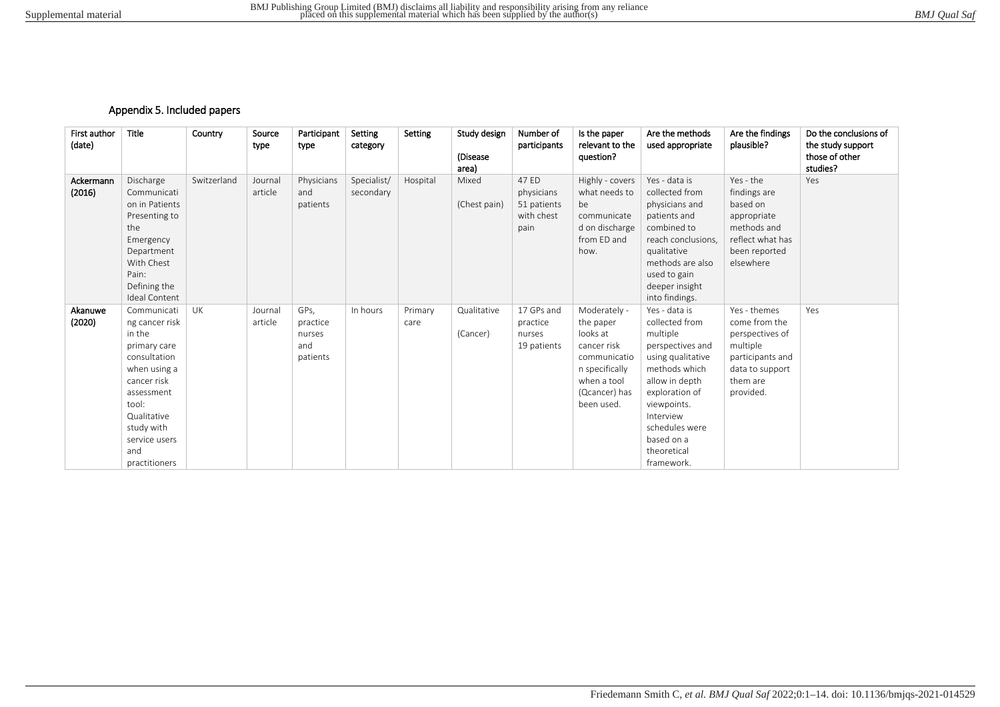## Appendix 5. Included papers

| First author<br>(date) | <b>Title</b>                                                                                                                                                                                        | Country     | Source<br>type     | Participant<br>type                           | Setting<br>category      | Setting         | Study design<br>(Disease<br>area) | Number of<br>participants                                | Is the paper<br>relevant to the<br>question?                                                                                         | Are the methods<br>used appropriate                                                                                                                                                                                                | Are the findings<br>plausible?                                                                                               | Do the conclusions of<br>the study support<br>those of other<br>studies? |
|------------------------|-----------------------------------------------------------------------------------------------------------------------------------------------------------------------------------------------------|-------------|--------------------|-----------------------------------------------|--------------------------|-----------------|-----------------------------------|----------------------------------------------------------|--------------------------------------------------------------------------------------------------------------------------------------|------------------------------------------------------------------------------------------------------------------------------------------------------------------------------------------------------------------------------------|------------------------------------------------------------------------------------------------------------------------------|--------------------------------------------------------------------------|
| Ackermann<br>(2016)    | Discharge<br>Communicati<br>on in Patients<br>Presenting to<br>the<br>Emergency<br>Department<br>With Chest<br>Pain:<br>Defining the<br><b>Ideal Content</b>                                        | Switzerland | Journal<br>article | Physicians<br>and<br>patients                 | Specialist/<br>secondary | Hospital        | Mixed<br>(Chest pain)             | 47 ED<br>physicians<br>51 patients<br>with chest<br>pain | Highly - covers<br>what needs to<br>be<br>communicate<br>d on discharge<br>from ED and<br>how.                                       | Yes - data is<br>collected from<br>physicians and<br>patients and<br>combined to<br>reach conclusions.<br>qualitative<br>methods are also<br>used to gain<br>deeper insight<br>into findings.                                      | Yes - the<br>findings are<br>based on<br>appropriate<br>methods and<br>reflect what has<br>been reported<br>elsewhere        | Yes                                                                      |
| Akanuwe<br>(2020)      | Communicati<br>ng cancer risk<br>in the<br>primary care<br>consultation<br>when using a<br>cancer risk<br>assessment<br>tool:<br>Qualitative<br>study with<br>service users<br>and<br>practitioners | UK          | Journal<br>article | GPs,<br>practice<br>nurses<br>and<br>patients | In hours                 | Primary<br>care | Qualitative<br>(Cancer)           | 17 GPs and<br>practice<br>nurses<br>19 patients          | Moderately -<br>the paper<br>looks at<br>cancer risk<br>communicatio<br>n specifically<br>when a tool<br>(Qcancer) has<br>been used. | Yes - data is<br>collected from<br>multiple<br>perspectives and<br>using qualitative<br>methods which<br>allow in depth<br>exploration of<br>viewpoints.<br>Interview<br>schedules were<br>based on a<br>theoretical<br>framework. | Yes - themes<br>come from the<br>perspectives of<br>multiple<br>participants and<br>data to support<br>them are<br>provided. | Yes                                                                      |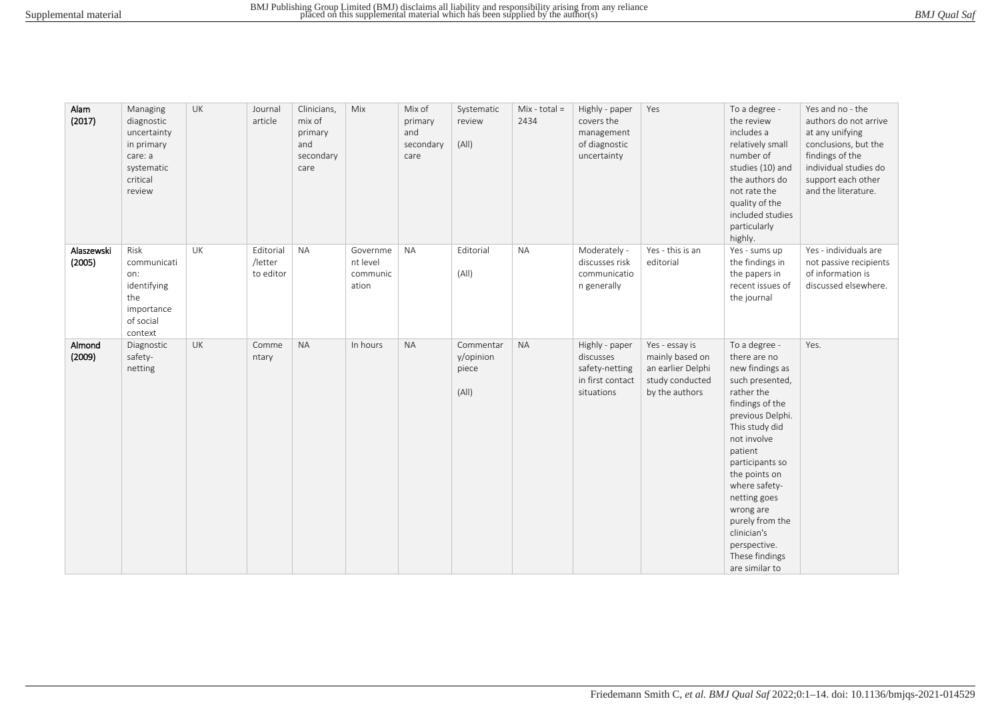| BMJ Qual Saf |
|--------------|
|--------------|

| Alam<br>(2017)       | Managing<br>diagnostic<br>uncertainty<br>in primary<br>care: a<br>systematic<br>critical<br>review | UK | Journal<br>article                | Clinicians,<br>mix of<br>primary<br>and<br>secondary<br>care | Mix                                       | Mix of<br>primary<br>and<br>secondary<br>care | Systematic<br>review<br>(A  )            | Mix - total $=$<br>2434 | Highly - paper<br>covers the<br>management<br>of diagnostic<br>uncertainty      | Yes                                                                                         | To a degree -<br>the review<br>includes a<br>relatively small<br>number of<br>studies (10) and<br>the authors do<br>not rate the<br>quality of the<br>included studies<br>particularly<br>highly.                                                                                                                                            | Yes and no - the<br>authors do not arrive<br>at any unifying<br>conclusions, but the<br>findings of the<br>individual studies do<br>support each other<br>and the literature. |
|----------------------|----------------------------------------------------------------------------------------------------|----|-----------------------------------|--------------------------------------------------------------|-------------------------------------------|-----------------------------------------------|------------------------------------------|-------------------------|---------------------------------------------------------------------------------|---------------------------------------------------------------------------------------------|----------------------------------------------------------------------------------------------------------------------------------------------------------------------------------------------------------------------------------------------------------------------------------------------------------------------------------------------|-------------------------------------------------------------------------------------------------------------------------------------------------------------------------------|
| Alaszewski<br>(2005) | Risk<br>communicati<br>on:<br>identifying<br>the<br>importance<br>of social<br>context             | UK | Editorial<br>/letter<br>to editor | <b>NA</b>                                                    | Governme<br>nt level<br>communic<br>ation | <b>NA</b>                                     | Editorial<br>(A  )                       | <b>NA</b>               | Moderately -<br>discusses risk<br>communicatio<br>n generally                   | Yes - this is an<br>editorial                                                               | Yes - sums up<br>the findings in<br>the papers in<br>recent issues of<br>the journal                                                                                                                                                                                                                                                         | Yes - individuals are<br>not passive recipients<br>of information is<br>discussed elsewhere.                                                                                  |
| Almond<br>(2009)     | Diagnostic<br>safety-<br>netting                                                                   | UK | Comme<br>ntary                    | <b>NA</b>                                                    | In hours                                  | <b>NA</b>                                     | Commentar<br>y/opinion<br>piece<br>(A  ) | <b>NA</b>               | Highly - paper<br>discusses<br>safety-netting<br>in first contact<br>situations | Yes - essay is<br>mainly based on<br>an earlier Delphi<br>study conducted<br>by the authors | To a degree -<br>there are no<br>new findings as<br>such presented,<br>rather the<br>findings of the<br>previous Delphi.<br>This study did<br>not involve<br>patient<br>participants so<br>the points on<br>where safety-<br>netting goes<br>wrong are<br>purely from the<br>clinician's<br>perspective.<br>These findings<br>are similar to | Yes.                                                                                                                                                                          |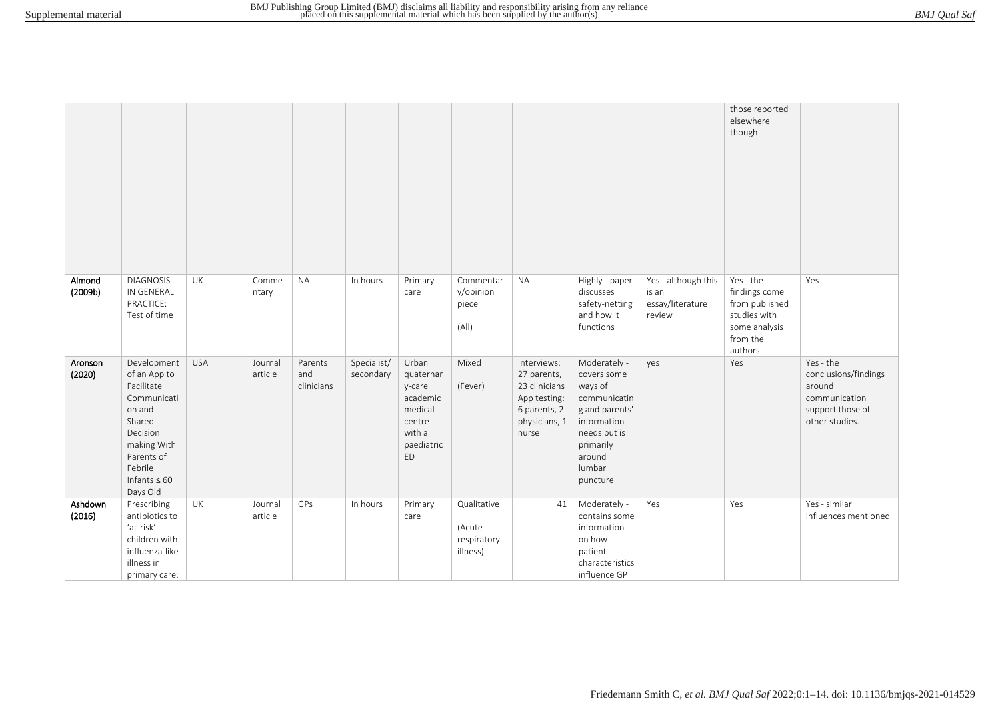|                   |                                                                                                                                                                   |            |                    |                              |                          |                                                                                             |                                                  |                                                                                                       |                                                                                                                                                      |                                                            | those reported<br>elsewhere<br>though                                                                |                                                                                                    |
|-------------------|-------------------------------------------------------------------------------------------------------------------------------------------------------------------|------------|--------------------|------------------------------|--------------------------|---------------------------------------------------------------------------------------------|--------------------------------------------------|-------------------------------------------------------------------------------------------------------|------------------------------------------------------------------------------------------------------------------------------------------------------|------------------------------------------------------------|------------------------------------------------------------------------------------------------------|----------------------------------------------------------------------------------------------------|
| Almond<br>(2009b) | <b>DIAGNOSIS</b><br>IN GENERAL<br>PRACTICE:<br>Test of time                                                                                                       | UK         | Comme<br>ntary     | <b>NA</b>                    | In hours                 | Primary<br>care                                                                             | Commentar<br>y/opinion<br>piece<br>(A  )         | <b>NA</b>                                                                                             | Highly - paper<br>discusses<br>safety-netting<br>and how it<br>functions                                                                             | Yes - although this<br>is an<br>essay/literature<br>review | Yes - the<br>findings come<br>from published<br>studies with<br>some analysis<br>from the<br>authors | Yes                                                                                                |
| Aronson<br>(2020) | Development<br>of an App to<br>Facilitate<br>Communicati<br>on and<br>Shared<br>Decision<br>making With<br>Parents of<br>Febrile<br>Infants $\leq 60$<br>Days Old | <b>USA</b> | Journal<br>article | Parents<br>and<br>clinicians | Specialist/<br>secondary | Urban<br>quaternar<br>y-care<br>academic<br>medical<br>centre<br>with a<br>paediatric<br>ED | Mixed<br>(Fever)                                 | Interviews:<br>27 parents,<br>23 clinicians<br>App testing:<br>6 parents, 2<br>physicians, 1<br>nurse | Moderately -<br>covers some<br>ways of<br>communicatin<br>g and parents'<br>information<br>needs but is<br>primarily<br>around<br>lumbar<br>puncture | yes                                                        | Yes                                                                                                  | Yes - the<br>conclusions/findings<br>around<br>communication<br>support those of<br>other studies. |
| Ashdown<br>(2016) | Prescribing<br>antibiotics to<br>'at-risk'<br>children with<br>influenza-like<br>illness in<br>primary care:                                                      | UK         | Journal<br>article | GPs                          | In hours                 | Primary<br>care                                                                             | Qualitative<br>(Acute<br>respiratory<br>illness) | 41                                                                                                    | Moderately -<br>contains some<br>information<br>on how<br>patient<br>characteristics<br>influence GP                                                 | Yes                                                        | Yes                                                                                                  | Yes - similar<br>influences mentioned                                                              |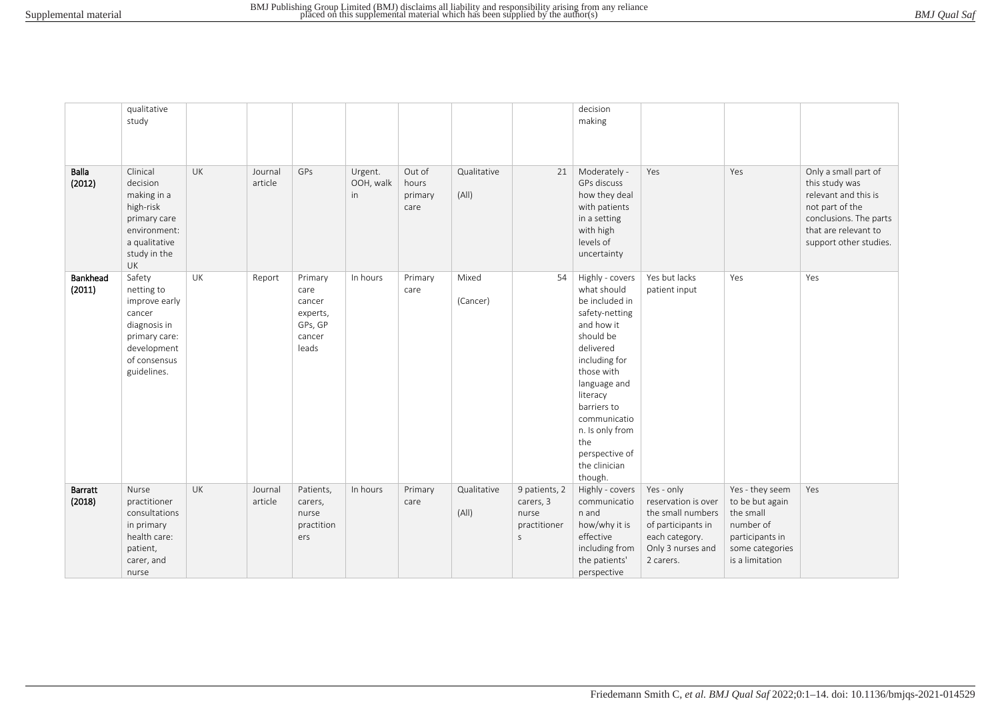| <b>BMJ</b> Qual Saf |  |  |
|---------------------|--|--|
|---------------------|--|--|

|                    | qualitative                                                                                                                    |           |                    |                                                                     |                            |                                    |                      |                                                                     | decision                                                                                                                                                                                                                                                                     |                                                                                                                                  |                                                                                                                       |                                                                                                                                                               |
|--------------------|--------------------------------------------------------------------------------------------------------------------------------|-----------|--------------------|---------------------------------------------------------------------|----------------------------|------------------------------------|----------------------|---------------------------------------------------------------------|------------------------------------------------------------------------------------------------------------------------------------------------------------------------------------------------------------------------------------------------------------------------------|----------------------------------------------------------------------------------------------------------------------------------|-----------------------------------------------------------------------------------------------------------------------|---------------------------------------------------------------------------------------------------------------------------------------------------------------|
|                    | study                                                                                                                          |           |                    |                                                                     |                            |                                    |                      |                                                                     | making                                                                                                                                                                                                                                                                       |                                                                                                                                  |                                                                                                                       |                                                                                                                                                               |
|                    |                                                                                                                                |           |                    |                                                                     |                            |                                    |                      |                                                                     |                                                                                                                                                                                                                                                                              |                                                                                                                                  |                                                                                                                       |                                                                                                                                                               |
|                    |                                                                                                                                |           |                    |                                                                     |                            |                                    |                      |                                                                     |                                                                                                                                                                                                                                                                              |                                                                                                                                  |                                                                                                                       |                                                                                                                                                               |
| Balla<br>(2012)    | Clinical<br>decision<br>making in a<br>high-risk<br>primary care<br>environment:<br>a qualitative<br>study in the<br>UK        | UK        | Journal<br>article | GPs                                                                 | Urgent.<br>OOH, walk<br>in | Out of<br>hours<br>primary<br>care | Qualitative<br>(A  ) | 21                                                                  | Moderately -<br>GPs discuss<br>how they deal<br>with patients<br>in a setting<br>with high<br>levels of<br>uncertainty                                                                                                                                                       | Yes                                                                                                                              | Yes                                                                                                                   | Only a small part of<br>this study was<br>relevant and this is<br>not part of the<br>conclusions. The parts<br>that are relevant to<br>support other studies. |
| Bankhead<br>(2011) | Safety<br>netting to<br>improve early<br>cancer<br>diagnosis in<br>primary care:<br>development<br>of consensus<br>guidelines. | UK        | Report             | Primary<br>care<br>cancer<br>experts,<br>GPs, GP<br>cancer<br>leads | In hours                   | Primary<br>care                    | Mixed<br>(Cancer)    | 54                                                                  | Highly - covers<br>what should<br>be included in<br>safety-netting<br>and how it<br>should be<br>delivered<br>including for<br>those with<br>language and<br>literacy<br>barriers to<br>communicatio<br>n. Is only from<br>the<br>perspective of<br>the clinician<br>though. | Yes but lacks<br>patient input                                                                                                   | Yes                                                                                                                   | Yes                                                                                                                                                           |
| Barratt<br>(2018)  | Nurse<br>practitioner<br>consultations<br>in primary<br>health care:<br>patient,<br>carer, and<br>nurse                        | <b>UK</b> | Journal<br>article | Patients,<br>carers,<br>nurse<br>practition<br>ers                  | In hours                   | Primary<br>care                    | Qualitative<br>(A  ) | 9 patients, 2<br>carers, 3<br>nurse<br>practitioner<br>$\mathsf{S}$ | Highly - covers<br>communicatio<br>n and<br>how/why it is<br>effective<br>including from<br>the patients'<br>perspective                                                                                                                                                     | Yes - only<br>reservation is over<br>the small numbers<br>of participants in<br>each category.<br>Only 3 nurses and<br>2 carers. | Yes - they seem<br>to be but again<br>the small<br>number of<br>participants in<br>some categories<br>is a limitation | Yes                                                                                                                                                           |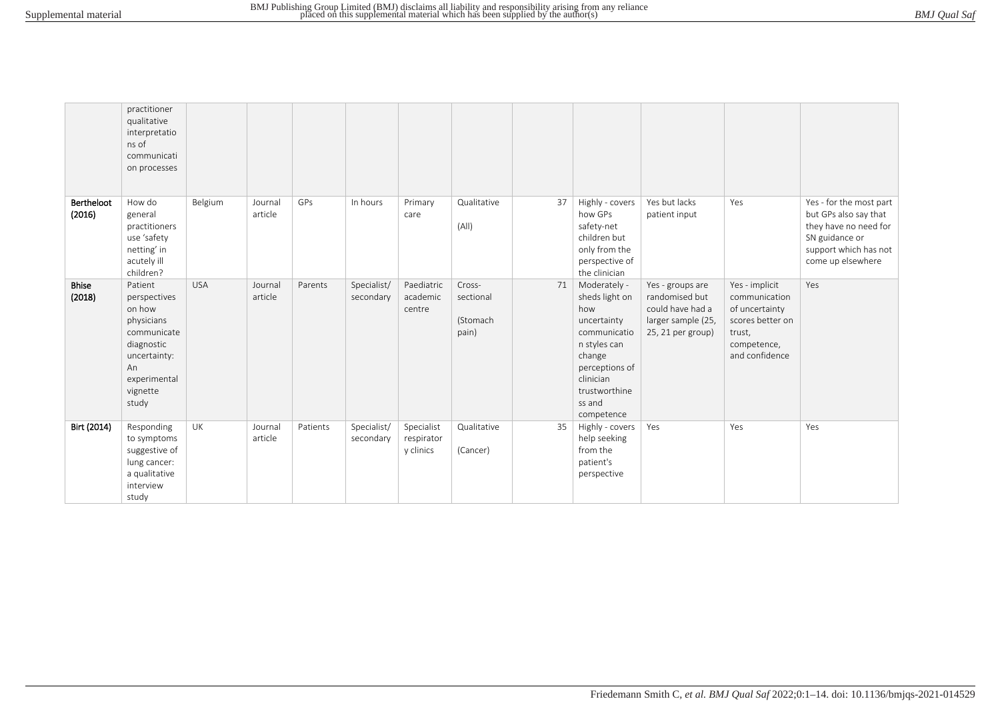| <b>BMJ</b> Qual Saf |  |  |
|---------------------|--|--|
|---------------------|--|--|

|                        | practitioner<br>qualitative<br>interpretatio<br>ns of<br>communicati<br>on processes                                                    |            |                    |          |                          |                                       |                                          |    |                                                                                                                                                                        |                                                                                                   |                                                                                                                  |                                                                                                                                           |
|------------------------|-----------------------------------------------------------------------------------------------------------------------------------------|------------|--------------------|----------|--------------------------|---------------------------------------|------------------------------------------|----|------------------------------------------------------------------------------------------------------------------------------------------------------------------------|---------------------------------------------------------------------------------------------------|------------------------------------------------------------------------------------------------------------------|-------------------------------------------------------------------------------------------------------------------------------------------|
| Bertheloot<br>(2016)   | How do<br>general<br>practitioners<br>use 'safety<br>netting' in<br>acutely ill<br>children?                                            | Belgium    | Journal<br>article | GPs      | In hours                 | Primary<br>care                       | Qualitative<br>(A  )                     | 37 | Highly - covers<br>how GPs<br>safety-net<br>children but<br>only from the<br>perspective of<br>the clinician                                                           | Yes but lacks<br>patient input                                                                    | Yes                                                                                                              | Yes - for the most part<br>but GPs also say that<br>they have no need for<br>SN guidance or<br>support which has not<br>come up elsewhere |
| <b>Bhise</b><br>(2018) | Patient<br>perspectives<br>on how<br>physicians<br>communicate<br>diagnostic<br>uncertainty:<br>An<br>experimental<br>vignette<br>study | <b>USA</b> | Journal<br>article | Parents  | Specialist/<br>secondary | Paediatric<br>academic<br>centre      | Cross-<br>sectional<br>(Stomach<br>pain) | 71 | Moderately -<br>sheds light on<br>how<br>uncertainty<br>communicatio<br>n styles can<br>change<br>perceptions of<br>clinician<br>trustworthine<br>ss and<br>competence | Yes - groups are<br>randomised but<br>could have had a<br>larger sample (25,<br>25, 21 per group) | Yes - implicit<br>communication<br>of uncertainty<br>scores better on<br>trust,<br>competence,<br>and confidence | Yes                                                                                                                                       |
| Birt (2014)            | Responding<br>to symptoms<br>suggestive of<br>lung cancer:<br>a qualitative<br>interview<br>study                                       | UK         | Journal<br>article | Patients | Specialist/<br>secondary | Specialist<br>respirator<br>y clinics | Qualitative<br>(Cancer)                  | 35 | Highly - covers<br>help seeking<br>from the<br>patient's<br>perspective                                                                                                | Yes                                                                                               | Yes                                                                                                              | Yes                                                                                                                                       |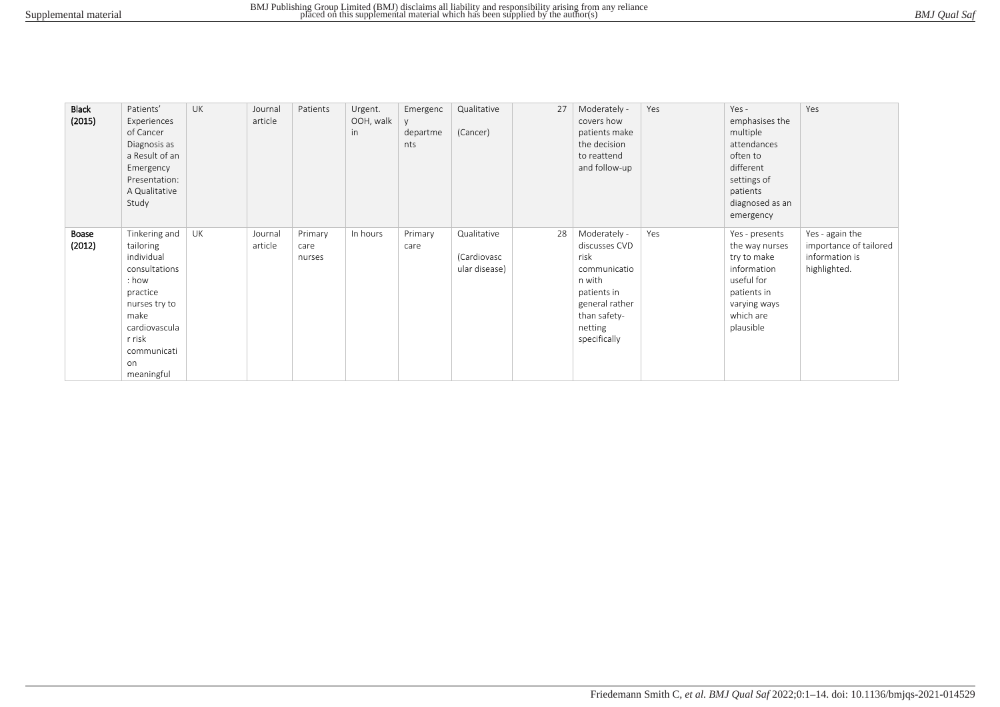| <b>Black</b><br>(2015) | Patients'<br>Experiences<br>of Cancer<br>Diagnosis as<br>a Result of an<br>Emergency<br>Presentation:<br>A Qualitative<br>Study                                       | <b>UK</b> | Journal<br>article | Patients                  | Urgent.<br>OOH, walk<br>in | Emergenc<br>departme<br>nts | Qualitative<br>(Cancer)                     | 27 | Moderately -<br>covers how<br>patients make<br>the decision<br>to reattend<br>and follow-up                                                 | Yes | $Yes -$<br>emphasises the<br>multiple<br>attendances<br>often to<br>different<br>settings of<br>patients<br>diagnosed as an<br>emergency | Yes                                                                         |
|------------------------|-----------------------------------------------------------------------------------------------------------------------------------------------------------------------|-----------|--------------------|---------------------------|----------------------------|-----------------------------|---------------------------------------------|----|---------------------------------------------------------------------------------------------------------------------------------------------|-----|------------------------------------------------------------------------------------------------------------------------------------------|-----------------------------------------------------------------------------|
| Boase<br>(2012)        | Tinkering and<br>tailoring<br>individual<br>consultations<br>: how<br>practice<br>nurses try to<br>make<br>cardiovascula<br>r risk<br>communicati<br>on<br>meaningful | UK        | Journal<br>article | Primary<br>care<br>nurses | In hours                   | Primary<br>care             | Qualitative<br>(Cardiovasc<br>ular disease) | 28 | Moderately -<br>discusses CVD<br>risk<br>communicatio<br>n with<br>patients in<br>general rather<br>than safety-<br>netting<br>specifically | Yes | Yes - presents<br>the way nurses<br>try to make<br>information<br>useful for<br>patients in<br>varying ways<br>which are<br>plausible    | Yes - again the<br>importance of tailored<br>information is<br>highlighted. |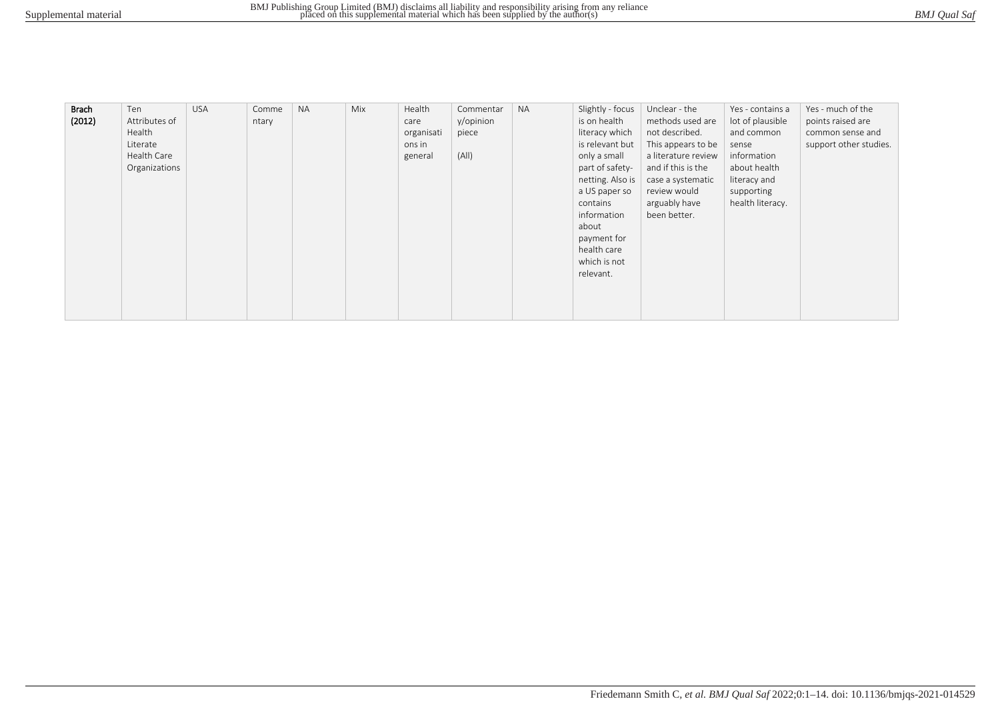| BMJ Qual Saf |
|--------------|
|--------------|

| <b>Brach</b> | Ten           | <b>USA</b> | Comme | <b>NA</b> | Mix | Health     | Commentar | <b>NA</b> | Slightly - focus | Unclear - the       | Yes - contains a | Yes - much of the      |
|--------------|---------------|------------|-------|-----------|-----|------------|-----------|-----------|------------------|---------------------|------------------|------------------------|
| (2012)       | Attributes of |            | ntary |           |     | care       | y/opinion |           | is on health     | methods used are    | lot of plausible | points raised are      |
|              | Health        |            |       |           |     | organisati | piece     |           | literacy which   | not described.      | and common       | common sense and       |
|              | Literate      |            |       |           |     | ons in     |           |           | is relevant but  | This appears to be  | sense            | support other studies. |
|              | Health Care   |            |       |           |     | general    | (A  )     |           | only a small     | a literature review | information      |                        |
|              | Organizations |            |       |           |     |            |           |           | part of safety-  | and if this is the  | about health     |                        |
|              |               |            |       |           |     |            |           |           | netting. Also is | case a systematic   | literacy and     |                        |
|              |               |            |       |           |     |            |           |           | a US paper so    | review would        | supporting       |                        |
|              |               |            |       |           |     |            |           |           | contains         | arguably have       | health literacy. |                        |
|              |               |            |       |           |     |            |           |           | information      | been better.        |                  |                        |
|              |               |            |       |           |     |            |           |           | about            |                     |                  |                        |
|              |               |            |       |           |     |            |           |           | payment for      |                     |                  |                        |
|              |               |            |       |           |     |            |           |           | health care      |                     |                  |                        |
|              |               |            |       |           |     |            |           |           | which is not     |                     |                  |                        |
|              |               |            |       |           |     |            |           |           | relevant.        |                     |                  |                        |
|              |               |            |       |           |     |            |           |           |                  |                     |                  |                        |
|              |               |            |       |           |     |            |           |           |                  |                     |                  |                        |
|              |               |            |       |           |     |            |           |           |                  |                     |                  |                        |
|              |               |            |       |           |     |            |           |           |                  |                     |                  |                        |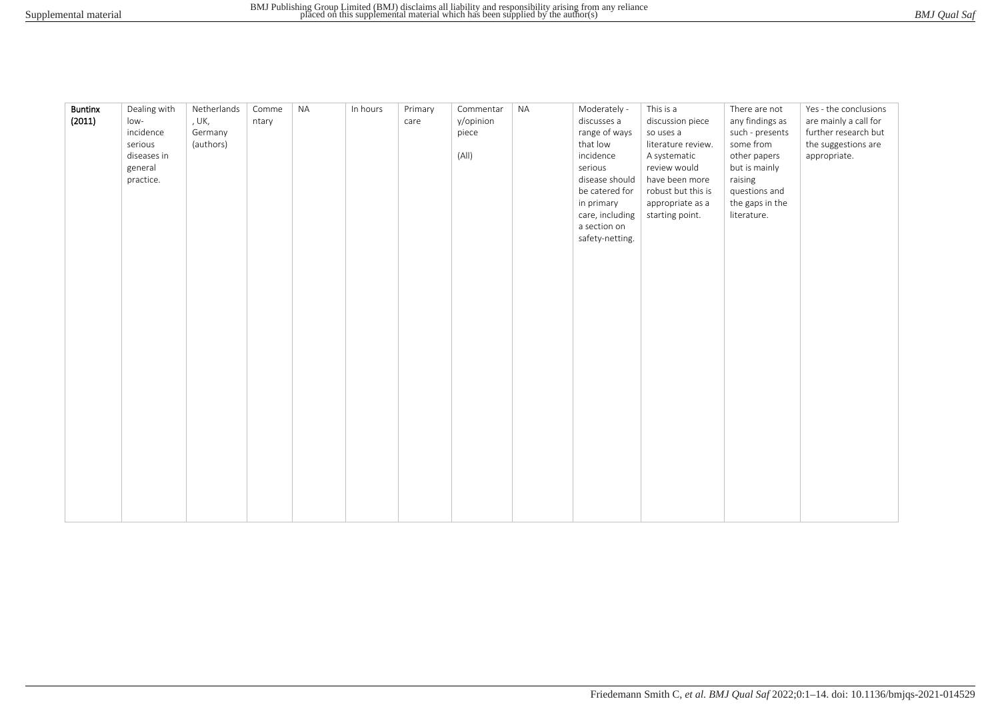| BMJ Qual Saf |  |
|--------------|--|
|              |  |

| <b>Buntinx</b><br>(2011) | Dealing with<br>low-<br>incidence<br>serious<br>diseases in<br>general<br>practice. | Netherlands<br>, UK,<br>Germany<br>(authors) | Comme<br>ntary | <b>NA</b> | In hours | Primary<br>care | Commentar<br>y/opinion<br>piece<br>(A  ) | <b>NA</b> | Moderately -<br>discusses a<br>range of ways<br>that low<br>incidence<br>serious<br>disease should<br>be catered for<br>in primary<br>care, including<br>a section on<br>safety-netting. | This is a<br>discussion piece<br>so uses a<br>literature review.<br>A systematic<br>review would<br>have been more<br>robust but this is<br>appropriate as a<br>starting point. | There are not<br>any findings as<br>such - presents<br>some from<br>other papers<br>but is mainly<br>raising<br>questions and<br>the gaps in the<br>literature. | Yes - the conclusions<br>are mainly a call for<br>further research but<br>the suggestions are<br>appropriate. |
|--------------------------|-------------------------------------------------------------------------------------|----------------------------------------------|----------------|-----------|----------|-----------------|------------------------------------------|-----------|------------------------------------------------------------------------------------------------------------------------------------------------------------------------------------------|---------------------------------------------------------------------------------------------------------------------------------------------------------------------------------|-----------------------------------------------------------------------------------------------------------------------------------------------------------------|---------------------------------------------------------------------------------------------------------------|
|                          |                                                                                     |                                              |                |           |          |                 |                                          |           |                                                                                                                                                                                          |                                                                                                                                                                                 |                                                                                                                                                                 |                                                                                                               |
|                          |                                                                                     |                                              |                |           |          |                 |                                          |           |                                                                                                                                                                                          |                                                                                                                                                                                 |                                                                                                                                                                 |                                                                                                               |
|                          |                                                                                     |                                              |                |           |          |                 |                                          |           |                                                                                                                                                                                          |                                                                                                                                                                                 |                                                                                                                                                                 |                                                                                                               |
|                          |                                                                                     |                                              |                |           |          |                 |                                          |           |                                                                                                                                                                                          |                                                                                                                                                                                 |                                                                                                                                                                 |                                                                                                               |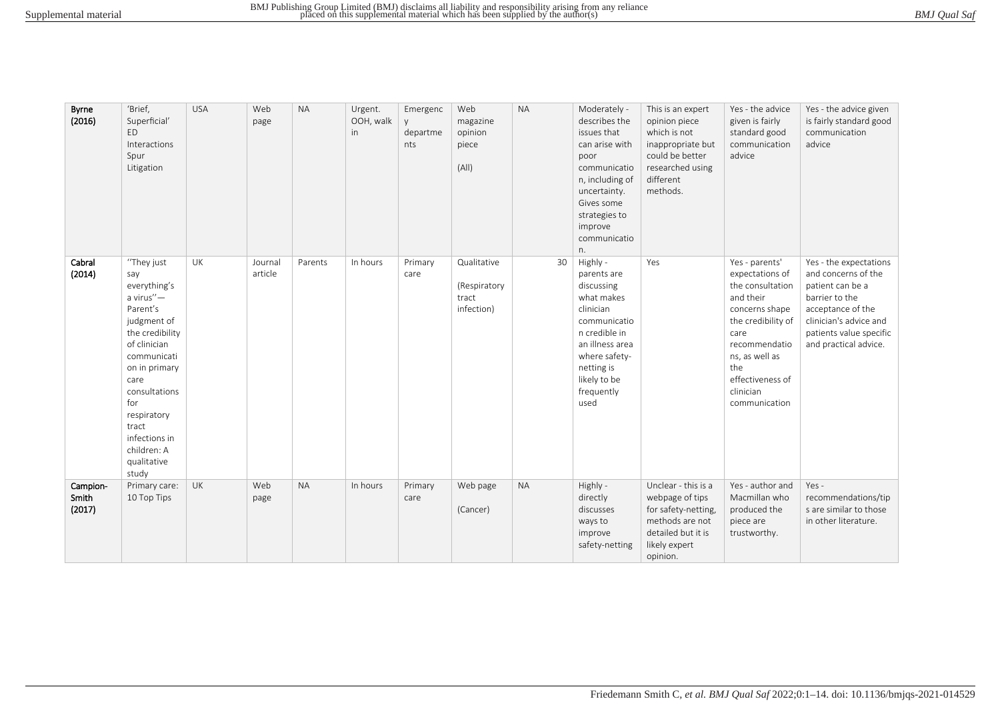| Byrne<br>(2016)             | 'Brief,<br>Superficial'<br>F <sub>D</sub><br>Interactions<br>Spur<br>Litigation                                                                                                                                                                              | <b>USA</b> | Web<br>page        | <b>NA</b> | Urgent.<br>OOH, walk<br>in | Emergenc<br>V.<br>departme<br>nts | Web<br>magazine<br>opinion<br>piece<br>(A  )       | <b>NA</b> | Moderately -<br>describes the<br>issues that<br>can arise with<br>poor<br>communicatio<br>n, including of<br>uncertainty.<br>Gives some<br>strategies to<br>improve<br>communicatio<br>n. | This is an expert<br>opinion piece<br>which is not<br>inappropriate but<br>could be better<br>researched using<br>different<br>methods. | Yes - the advice<br>given is fairly<br>standard good<br>communication<br>advice                                                                                                                                | Yes - the advice given<br>is fairly standard good<br>communication<br>advice                                                                                                           |
|-----------------------------|--------------------------------------------------------------------------------------------------------------------------------------------------------------------------------------------------------------------------------------------------------------|------------|--------------------|-----------|----------------------------|-----------------------------------|----------------------------------------------------|-----------|-------------------------------------------------------------------------------------------------------------------------------------------------------------------------------------------|-----------------------------------------------------------------------------------------------------------------------------------------|----------------------------------------------------------------------------------------------------------------------------------------------------------------------------------------------------------------|----------------------------------------------------------------------------------------------------------------------------------------------------------------------------------------|
| Cabral<br>(2014)            | "They just<br>say<br>everything's<br>a virus"-<br>Parent's<br>judgment of<br>the credibility<br>of clinician<br>communicati<br>on in primary<br>care<br>consultations<br>for<br>respiratory<br>tract<br>infections in<br>children: A<br>qualitative<br>study | UK         | Journal<br>article | Parents   | In hours                   | Primary<br>care                   | Qualitative<br>(Respiratory<br>tract<br>infection) | 30        | Highly -<br>parents are<br>discussing<br>what makes<br>clinician<br>communicatio<br>n credible in<br>an illness area<br>where safety-<br>netting is<br>likely to be<br>frequently<br>used | Yes                                                                                                                                     | Yes - parents'<br>expectations of<br>the consultation<br>and their<br>concerns shape<br>the credibility of<br>care<br>recommendatio<br>ns, as well as<br>the<br>effectiveness of<br>clinician<br>communication | Yes - the expectations<br>and concerns of the<br>patient can be a<br>barrier to the<br>acceptance of the<br>clinician's advice and<br>patients value specific<br>and practical advice. |
| Campion-<br>Smith<br>(2017) | Primary care:<br>10 Top Tips                                                                                                                                                                                                                                 | <b>UK</b>  | Web<br>page        | <b>NA</b> | In hours                   | Primary<br>care                   | Web page<br>(Cancer)                               | <b>NA</b> | Highly -<br>directly<br>discusses<br>ways to<br>improve<br>safety-netting                                                                                                                 | Unclear - this is a<br>webpage of tips<br>for safety-netting,<br>methods are not<br>detailed but it is<br>likely expert<br>opinion.     | Yes - author and<br>Macmillan who<br>produced the<br>piece are<br>trustworthy.                                                                                                                                 | $Yes -$<br>recommendations/tip<br>s are similar to those<br>in other literature.                                                                                                       |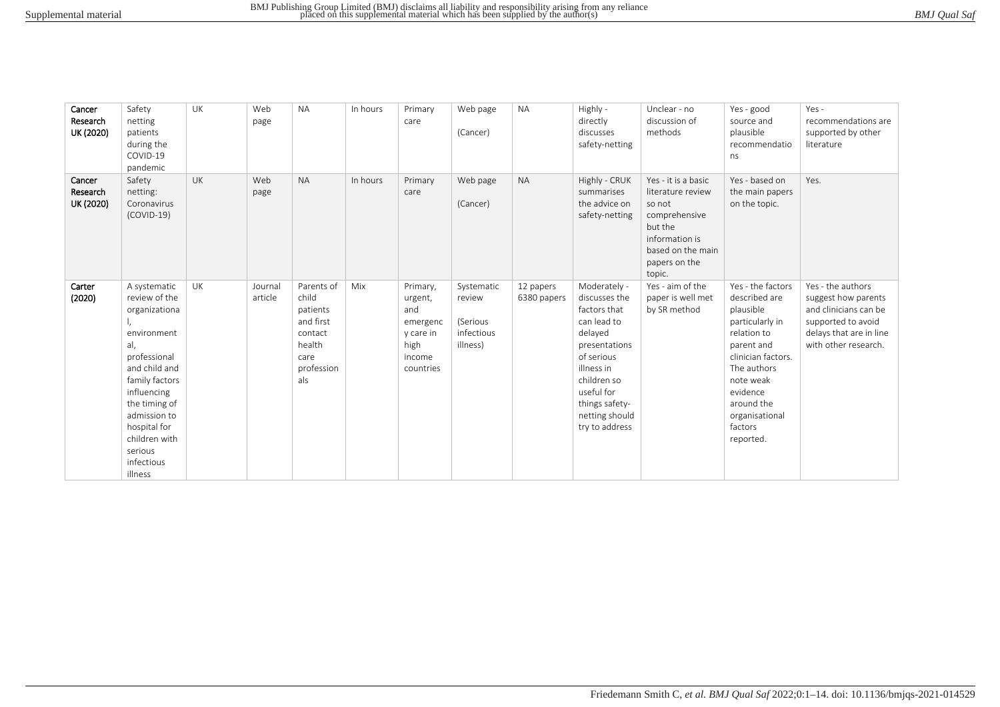| BMJ Qual Saf |
|--------------|
|--------------|

| Cancer<br>Research<br>UK (2020) | Safety<br>netting<br>patients<br>during the<br>COVID-19<br>pandemic                                                                                                                                                                          | <b>UK</b> | Web<br>page        | <b>NA</b>                                                                                      | In hours | Primary<br>care                                                                    | Web page<br>(Cancer)                                       | <b>NA</b>                | Highly -<br>directly<br>discusses<br>safety-netting                                                                                                                                                     | Unclear - no<br>discussion of<br>methods                                                                                                         | Yes - good<br>source and<br>plausible<br>recommendatio<br>ns                                                                                                                                                          | $Yes -$<br>recommendations are<br>supported by other<br>literature                                                                         |
|---------------------------------|----------------------------------------------------------------------------------------------------------------------------------------------------------------------------------------------------------------------------------------------|-----------|--------------------|------------------------------------------------------------------------------------------------|----------|------------------------------------------------------------------------------------|------------------------------------------------------------|--------------------------|---------------------------------------------------------------------------------------------------------------------------------------------------------------------------------------------------------|--------------------------------------------------------------------------------------------------------------------------------------------------|-----------------------------------------------------------------------------------------------------------------------------------------------------------------------------------------------------------------------|--------------------------------------------------------------------------------------------------------------------------------------------|
| Cancer<br>Research<br>UK (2020) | Safety<br>netting:<br>Coronavirus<br>$(COVID-19)$                                                                                                                                                                                            | <b>UK</b> | Web<br>page        | <b>NA</b>                                                                                      | In hours | Primary<br>care                                                                    | Web page<br>(Cancer)                                       | <b>NA</b>                | Highly - CRUK<br>summarises<br>the advice on<br>safety-netting                                                                                                                                          | Yes - it is a basic<br>literature review<br>so not<br>comprehensive<br>but the<br>information is<br>based on the main<br>papers on the<br>topic. | Yes - based on<br>the main papers<br>on the topic.                                                                                                                                                                    | Yes.                                                                                                                                       |
| Carter<br>(2020)                | A systematic<br>review of the<br>organizationa<br>environment<br>al,<br>professional<br>and child and<br>family factors<br>influencing<br>the timing of<br>admission to<br>hospital for<br>children with<br>serious<br>infectious<br>illness | UK        | Journal<br>article | Parents of<br>child<br>patients<br>and first<br>contact<br>health<br>care<br>profession<br>als | Mix      | Primary,<br>urgent,<br>and<br>emergenc<br>y care in<br>high<br>income<br>countries | Systematic<br>review<br>(Serious<br>infectious<br>illness) | 12 papers<br>6380 papers | Moderately -<br>discusses the<br>factors that<br>can lead to<br>delayed<br>presentations<br>of serious<br>illness in<br>children so<br>useful for<br>things safety-<br>netting should<br>try to address | Yes - aim of the<br>paper is well met<br>by SR method                                                                                            | Yes - the factors<br>described are<br>plausible<br>particularly in<br>relation to<br>parent and<br>clinician factors.<br>The authors<br>note weak<br>evidence<br>around the<br>organisational<br>factors<br>reported. | Yes - the authors<br>suggest how parents<br>and clinicians can be<br>supported to avoid<br>delays that are in line<br>with other research. |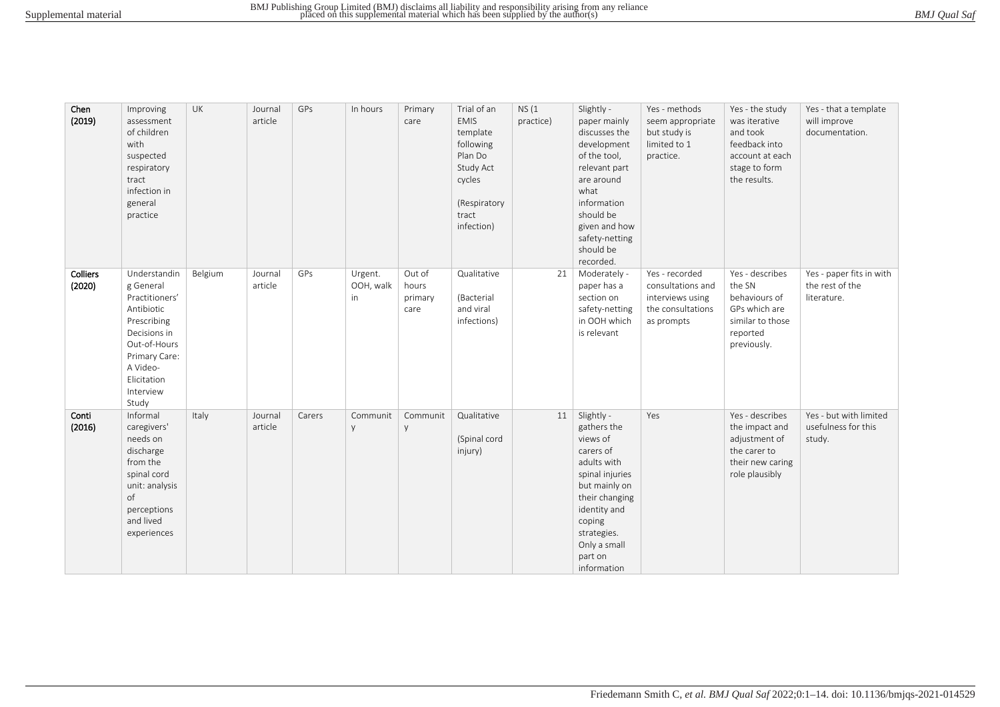| BMJ Qual Saf |  |
|--------------|--|
|--------------|--|

| Chen<br>(2019)     | Improving<br>assessment<br>of children<br>with<br>suspected<br>respiratory<br>tract<br>infection in<br>general<br>practice                                                 | UK      | Journal<br>article | GPs    | In hours                   | Primary<br>care                    | Trial of an<br><b>EMIS</b><br>template<br>following<br>Plan Do<br>Study Act<br>cycles<br>(Respiratory<br>tract<br>infection) | NS(1)<br>practice) | Slightly -<br>paper mainly<br>discusses the<br>development<br>of the tool,<br>relevant part<br>are around<br>what<br>information<br>should be<br>given and how<br>safety-netting<br>should be<br>recorded. | Yes - methods<br>seem appropriate<br>but study is<br>limited to 1<br>practice.             | Yes - the study<br>was iterative<br>and took<br>feedback into<br>account at each<br>stage to form<br>the results. | Yes - that a template<br>will improve<br>documentation.    |
|--------------------|----------------------------------------------------------------------------------------------------------------------------------------------------------------------------|---------|--------------------|--------|----------------------------|------------------------------------|------------------------------------------------------------------------------------------------------------------------------|--------------------|------------------------------------------------------------------------------------------------------------------------------------------------------------------------------------------------------------|--------------------------------------------------------------------------------------------|-------------------------------------------------------------------------------------------------------------------|------------------------------------------------------------|
| Colliers<br>(2020) | Understandin<br>g General<br>Practitioners'<br>Antibiotic<br>Prescribing<br>Decisions in<br>Out-of-Hours<br>Primary Care:<br>A Video-<br>Elicitation<br>Interview<br>Study | Belgium | Journal<br>article | GPs    | Urgent.<br>OOH, walk<br>in | Out of<br>hours<br>primary<br>care | Qualitative<br>(Bacterial<br>and viral<br>infections)                                                                        | 21                 | Moderately -<br>paper has a<br>section on<br>safety-netting<br>in OOH which<br>is relevant                                                                                                                 | Yes - recorded<br>consultations and<br>interviews using<br>the consultations<br>as prompts | Yes - describes<br>the SN<br>behaviours of<br>GPs which are<br>similar to those<br>reported<br>previously.        | Yes - paper fits in with<br>the rest of the<br>literature. |
| Conti<br>(2016)    | Informal<br>caregivers'<br>needs on<br>discharge<br>from the<br>spinal cord<br>unit: analysis<br>of<br>perceptions<br>and lived<br>experiences                             | Italy   | Journal<br>article | Carers | Communit<br>y              | Communit<br>y                      | Qualitative<br>(Spinal cord<br>injury)                                                                                       | 11                 | Slightly -<br>gathers the<br>views of<br>carers of<br>adults with<br>spinal injuries<br>but mainly on<br>their changing<br>identity and<br>coping<br>strategies.<br>Only a small<br>part on<br>information | Yes                                                                                        | Yes - describes<br>the impact and<br>adjustment of<br>the carer to<br>their new caring<br>role plausibly          | Yes - but with limited<br>usefulness for this<br>study.    |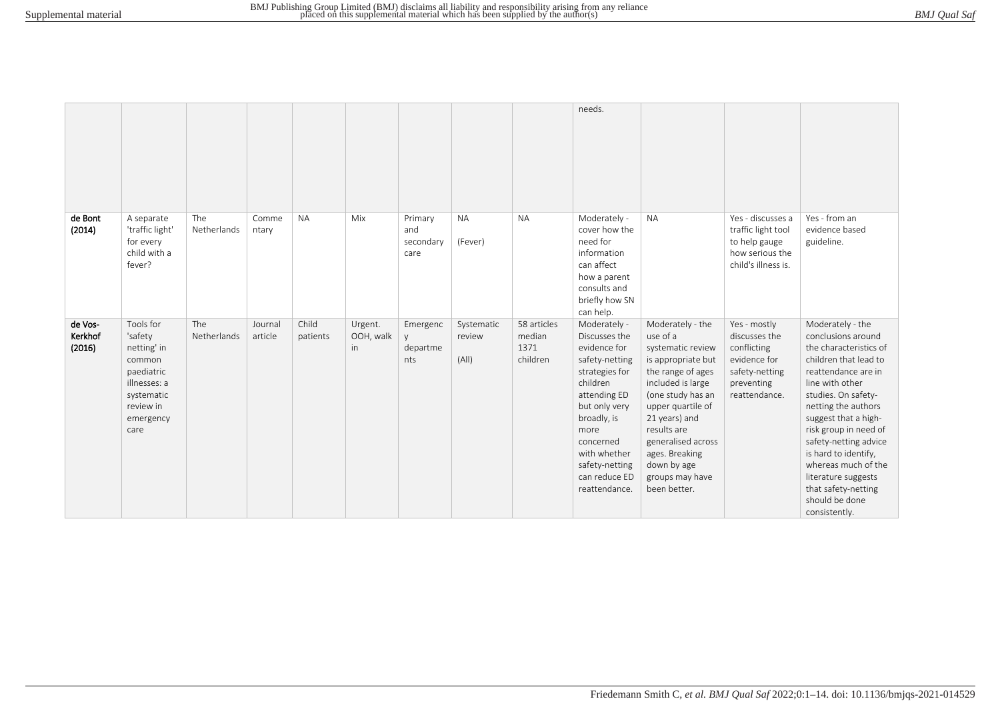|                              |                                                                                                                             |                    |                    |                   |                             |                                     |                               |                                           | needs.                                                                                                                                                                                                                                 |                                                                                                                                                                                                                                                                                       |                                                                                                               |                                                                                                                                                                                                                                                                                                                                                                                             |
|------------------------------|-----------------------------------------------------------------------------------------------------------------------------|--------------------|--------------------|-------------------|-----------------------------|-------------------------------------|-------------------------------|-------------------------------------------|----------------------------------------------------------------------------------------------------------------------------------------------------------------------------------------------------------------------------------------|---------------------------------------------------------------------------------------------------------------------------------------------------------------------------------------------------------------------------------------------------------------------------------------|---------------------------------------------------------------------------------------------------------------|---------------------------------------------------------------------------------------------------------------------------------------------------------------------------------------------------------------------------------------------------------------------------------------------------------------------------------------------------------------------------------------------|
| de Bont<br>(2014)            | A separate<br>'traffic light'<br>for every<br>child with a<br>fever?                                                        | The<br>Netherlands | Comme<br>ntary     | <b>NA</b>         | Mix                         | Primary<br>and<br>secondary<br>care | <b>NA</b><br>(Fever)          | <b>NA</b>                                 | Moderately -<br>cover how the<br>need for<br>information<br>can affect<br>how a parent<br>consults and<br>briefly how SN<br>can help.                                                                                                  | <b>NA</b>                                                                                                                                                                                                                                                                             | Yes - discusses a<br>traffic light tool<br>to help gauge<br>how serious the<br>child's illness is.            | Yes - from an<br>evidence based<br>guideline.                                                                                                                                                                                                                                                                                                                                               |
| de Vos-<br>Kerkhof<br>(2016) | Tools for<br>'safety<br>netting' in<br>common<br>paediatric<br>illnesses: a<br>systematic<br>review in<br>emergency<br>care | The<br>Netherlands | Journal<br>article | Child<br>patients | Urgent.<br>OOH, walk<br>in. | Emergenc<br>V<br>departme<br>nts    | Systematic<br>review<br>(A  ) | 58 articles<br>median<br>1371<br>children | Moderately -<br>Discusses the<br>evidence for<br>safety-netting<br>strategies for<br>children<br>attending ED<br>but only very<br>broadly, is<br>more<br>concerned<br>with whether<br>safety-netting<br>can reduce ED<br>reattendance. | Moderately - the<br>use of a<br>systematic review<br>is appropriate but<br>the range of ages<br>included is large<br>(one study has an<br>upper quartile of<br>21 years) and<br>results are<br>generalised across<br>ages. Breaking<br>down by age<br>groups may have<br>been better. | Yes - mostly<br>discusses the<br>conflicting<br>evidence for<br>safety-netting<br>preventing<br>reattendance. | Moderately - the<br>conclusions around<br>the characteristics of<br>children that lead to<br>reattendance are in<br>line with other<br>studies. On safety-<br>netting the authors<br>suggest that a high-<br>risk group in need of<br>safety-netting advice<br>is hard to identify,<br>whereas much of the<br>literature suggests<br>that safety-netting<br>should be done<br>consistently. |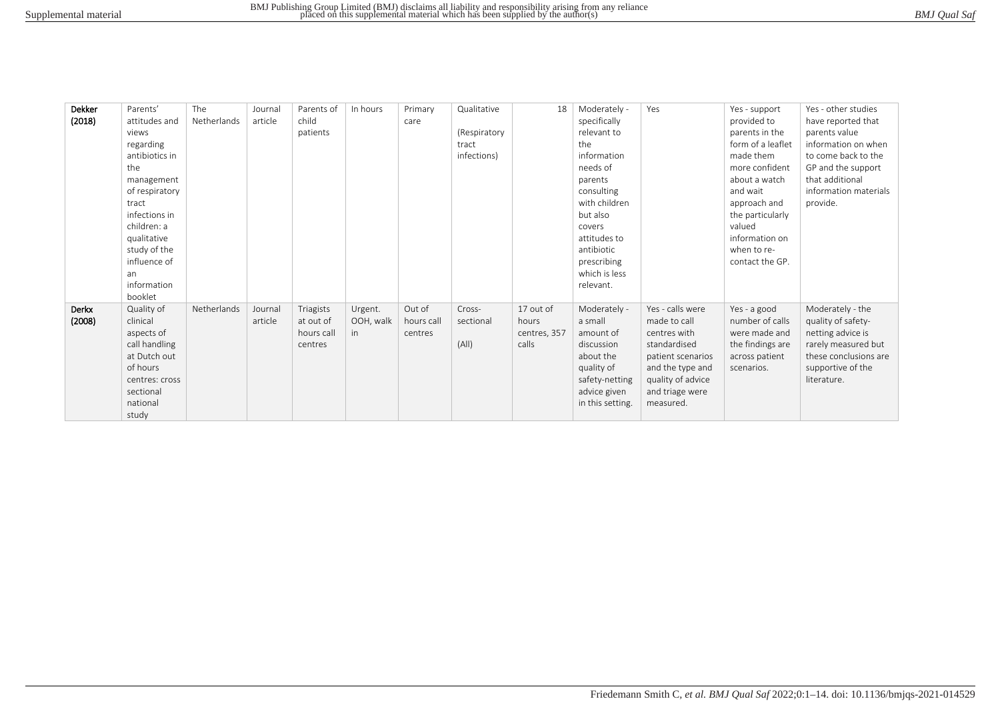| BMJ Qual Saf |
|--------------|
|--------------|

| Dekker | Parents'       | The         | Journal | Parents of | In hours  | Primary    | Qualitative  | 18           | Moderately -     | Yes               | Yes - support     | Yes - other studies   |
|--------|----------------|-------------|---------|------------|-----------|------------|--------------|--------------|------------------|-------------------|-------------------|-----------------------|
| (2018) | attitudes and  | Netherlands | article | child      |           | care       |              |              | specifically     |                   | provided to       | have reported that    |
|        | views          |             |         | patients   |           |            | (Respiratory |              | relevant to      |                   | parents in the    | parents value         |
|        | regarding      |             |         |            |           |            | tract        |              | the              |                   | form of a leaflet | information on when   |
|        | antibiotics in |             |         |            |           |            | infections)  |              | information      |                   | made them         | to come back to the   |
|        | the            |             |         |            |           |            |              |              | needs of         |                   | more confident    | GP and the support    |
|        | management     |             |         |            |           |            |              |              | parents          |                   | about a watch     | that additional       |
|        | of respiratory |             |         |            |           |            |              |              | consulting       |                   | and wait          | information materials |
|        | tract          |             |         |            |           |            |              |              | with children    |                   | approach and      | provide.              |
|        | infections in  |             |         |            |           |            |              |              | but also         |                   | the particularly  |                       |
|        | children: a    |             |         |            |           |            |              |              | covers           |                   | valued            |                       |
|        | qualitative    |             |         |            |           |            |              |              | attitudes to     |                   | information on    |                       |
|        | study of the   |             |         |            |           |            |              |              | antibiotic       |                   | when to re-       |                       |
|        | influence of   |             |         |            |           |            |              |              | prescribing      |                   | contact the GP.   |                       |
|        | an             |             |         |            |           |            |              |              | which is less    |                   |                   |                       |
|        | information    |             |         |            |           |            |              |              | relevant.        |                   |                   |                       |
|        | booklet        |             |         |            |           |            |              |              |                  |                   |                   |                       |
| Derkx  | Quality of     | Netherlands | Journal | Triagists  | Urgent.   | Out of     | Cross-       | 17 out of    | Moderately -     | Yes - calls were  | Yes - a good      | Moderately - the      |
| (2008) | clinical       |             | article | at out of  | OOH, walk | hours call | sectional    | hours        | a small          | made to call      | number of calls   | quality of safety-    |
|        | aspects of     |             |         | hours call | in.       | centres    |              | centres, 357 | amount of        | centres with      | were made and     | netting advice is     |
|        | call handling  |             |         | centres    |           |            | (A  )        | calls        | discussion       | standardised      | the findings are  | rarely measured but   |
|        | at Dutch out   |             |         |            |           |            |              |              | about the        | patient scenarios | across patient    | these conclusions are |
|        | of hours       |             |         |            |           |            |              |              | quality of       | and the type and  | scenarios.        | supportive of the     |
|        | centres: cross |             |         |            |           |            |              |              | safety-netting   | quality of advice |                   | literature.           |
|        | sectional      |             |         |            |           |            |              |              | advice given     | and triage were   |                   |                       |
|        | national       |             |         |            |           |            |              |              | in this setting. | measured.         |                   |                       |
|        | study          |             |         |            |           |            |              |              |                  |                   |                   |                       |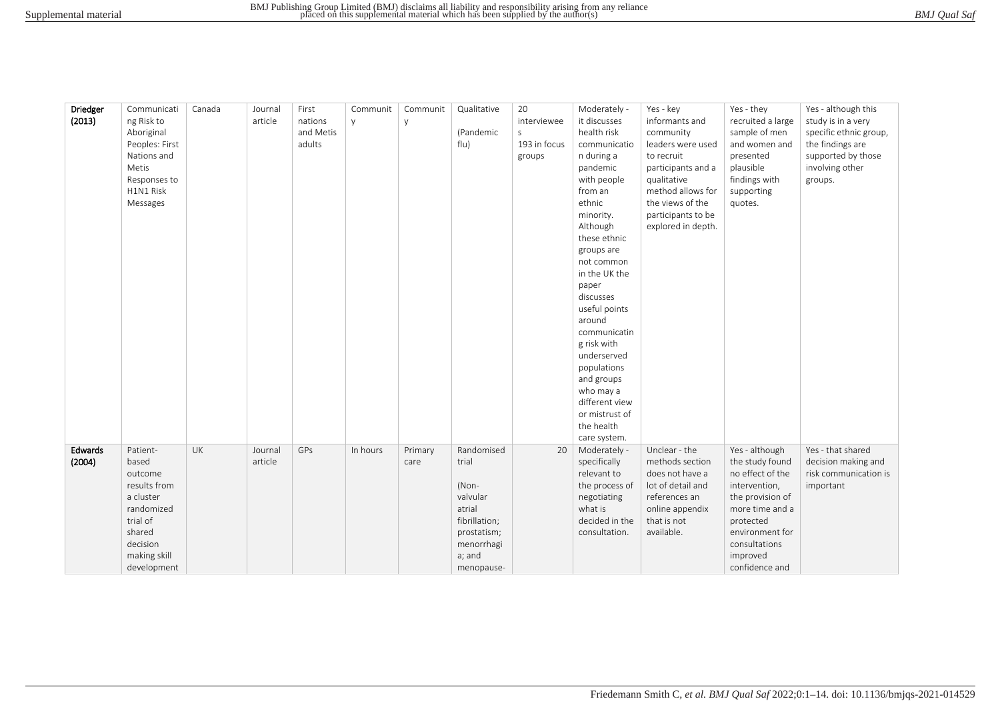| BMJ Qual Saf |
|--------------|
|--------------|

| Driedger | Communicati    | Canada | Journal | First     | Communit | Communit | Qualitative   | 20           | Moderately -   | Yes - key          | Yes - they        | Yes - although this    |
|----------|----------------|--------|---------|-----------|----------|----------|---------------|--------------|----------------|--------------------|-------------------|------------------------|
| (2013)   | ng Risk to     |        | article | nations   | y.       | y        |               | interviewee  | it discusses   | informants and     | recruited a large | study is in a very     |
|          | Aboriginal     |        |         | and Metis |          |          | (Pandemic     | $\mathsf{S}$ | health risk    | community          | sample of men     | specific ethnic group, |
|          | Peoples: First |        |         | adults    |          |          | flu)          | 193 in focus | communicatio   | leaders were used  | and women and     | the findings are       |
|          | Nations and    |        |         |           |          |          |               | groups       | n during a     | to recruit         | presented         | supported by those     |
|          | Metis          |        |         |           |          |          |               |              | pandemic       | participants and a | plausible         | involving other        |
|          | Responses to   |        |         |           |          |          |               |              | with people    | qualitative        | findings with     | groups.                |
|          | H1N1 Risk      |        |         |           |          |          |               |              | from an        | method allows for  | supporting        |                        |
|          | Messages       |        |         |           |          |          |               |              | ethnic         | the views of the   | quotes.           |                        |
|          |                |        |         |           |          |          |               |              | minority.      | participants to be |                   |                        |
|          |                |        |         |           |          |          |               |              | Although       | explored in depth. |                   |                        |
|          |                |        |         |           |          |          |               |              | these ethnic   |                    |                   |                        |
|          |                |        |         |           |          |          |               |              | groups are     |                    |                   |                        |
|          |                |        |         |           |          |          |               |              | not common     |                    |                   |                        |
|          |                |        |         |           |          |          |               |              | in the UK the  |                    |                   |                        |
|          |                |        |         |           |          |          |               |              | paper          |                    |                   |                        |
|          |                |        |         |           |          |          |               |              | discusses      |                    |                   |                        |
|          |                |        |         |           |          |          |               |              | useful points  |                    |                   |                        |
|          |                |        |         |           |          |          |               |              | around         |                    |                   |                        |
|          |                |        |         |           |          |          |               |              | communicatin   |                    |                   |                        |
|          |                |        |         |           |          |          |               |              | g risk with    |                    |                   |                        |
|          |                |        |         |           |          |          |               |              | underserved    |                    |                   |                        |
|          |                |        |         |           |          |          |               |              | populations    |                    |                   |                        |
|          |                |        |         |           |          |          |               |              | and groups     |                    |                   |                        |
|          |                |        |         |           |          |          |               |              | who may a      |                    |                   |                        |
|          |                |        |         |           |          |          |               |              | different view |                    |                   |                        |
|          |                |        |         |           |          |          |               |              | or mistrust of |                    |                   |                        |
|          |                |        |         |           |          |          |               |              | the health     |                    |                   |                        |
|          |                |        |         |           |          |          |               |              | care system.   |                    |                   |                        |
| Edwards  | Patient-       | UK     | Journal | GPs       | In hours | Primary  | Randomised    | 20           | Moderately -   | Unclear - the      | Yes - although    | Yes - that shared      |
| (2004)   | based          |        | article |           |          | care     | trial         |              | specifically   | methods section    | the study found   | decision making and    |
|          | outcome        |        |         |           |          |          |               |              | relevant to    | does not have a    | no effect of the  | risk communication is  |
|          | results from   |        |         |           |          |          | (Non-         |              | the process of | lot of detail and  | intervention,     | important              |
|          | a cluster      |        |         |           |          |          | valvular      |              | negotiating    | references an      | the provision of  |                        |
|          | randomized     |        |         |           |          |          | atrial        |              | what is        | online appendix    | more time and a   |                        |
|          | trial of       |        |         |           |          |          | fibrillation; |              | decided in the | that is not        | protected         |                        |
|          | shared         |        |         |           |          |          | prostatism;   |              | consultation.  | available.         | environment for   |                        |
|          | decision       |        |         |           |          |          | menorrhagi    |              |                |                    | consultations     |                        |
|          | making skill   |        |         |           |          |          | a; and        |              |                |                    | improved          |                        |
|          | development    |        |         |           |          |          | menopause-    |              |                |                    | confidence and    |                        |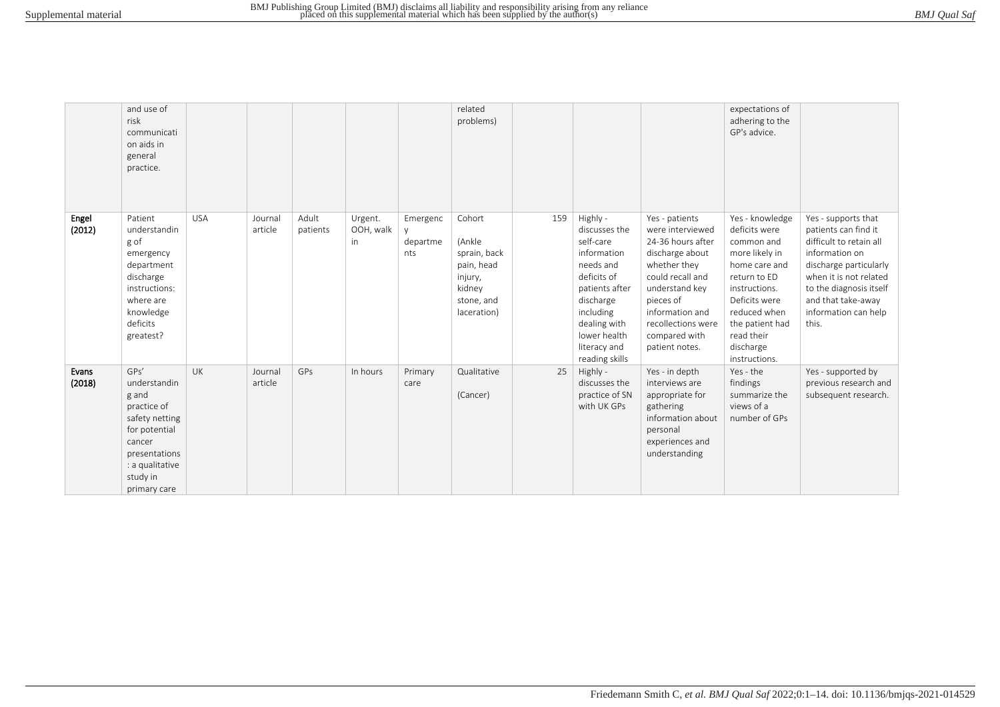|                 | and use of<br>risk<br>communicati<br>on aids in<br>general<br>practice.                                                                                   |            |                    |                   |                            |                             | related<br>problems)                                                                             |     |                                                                                                                                                                                                 |                                                                                                                                                                                                                           | expectations of<br>adhering to the<br>GP's advice.                                                                                                                                                                 |                                                                                                                                                                                                                                |
|-----------------|-----------------------------------------------------------------------------------------------------------------------------------------------------------|------------|--------------------|-------------------|----------------------------|-----------------------------|--------------------------------------------------------------------------------------------------|-----|-------------------------------------------------------------------------------------------------------------------------------------------------------------------------------------------------|---------------------------------------------------------------------------------------------------------------------------------------------------------------------------------------------------------------------------|--------------------------------------------------------------------------------------------------------------------------------------------------------------------------------------------------------------------|--------------------------------------------------------------------------------------------------------------------------------------------------------------------------------------------------------------------------------|
| Engel<br>(2012) | Patient<br>understandin<br>g of<br>emergency<br>department<br>discharge<br>instructions:<br>where are<br>knowledge<br>deficits<br>greatest?               | <b>USA</b> | Journal<br>article | Adult<br>patients | Urgent.<br>OOH, walk<br>in | Emergenc<br>departme<br>nts | Cohort<br>(Ankle<br>sprain, back<br>pain, head<br>injury,<br>kidney<br>stone, and<br>laceration) | 159 | Highly -<br>discusses the<br>self-care<br>information<br>needs and<br>deficits of<br>patients after<br>discharge<br>including<br>dealing with<br>lower health<br>literacy and<br>reading skills | Yes - patients<br>were interviewed<br>24-36 hours after<br>discharge about<br>whether they<br>could recall and<br>understand key<br>pieces of<br>information and<br>recollections were<br>compared with<br>patient notes. | Yes - knowledge<br>deficits were<br>common and<br>more likely in<br>home care and<br>return to ED<br>instructions.<br>Deficits were<br>reduced when<br>the patient had<br>read their<br>discharge<br>instructions. | Yes - supports that<br>patients can find it<br>difficult to retain all<br>information on<br>discharge particularly<br>when it is not related<br>to the diagnosis itself<br>and that take-away<br>information can help<br>this. |
| Evans<br>(2018) | GPs'<br>understandin<br>g and<br>practice of<br>safety netting<br>for potential<br>cancer<br>presentations<br>: a qualitative<br>study in<br>primary care | <b>UK</b>  | Journal<br>article | <b>GPs</b>        | In hours                   | Primary<br>care             | Qualitative<br>(Cancer)                                                                          | 25  | Highly -<br>discusses the<br>practice of SN<br>with UK GPs                                                                                                                                      | Yes - in depth<br>interviews are<br>appropriate for<br>gathering<br>information about<br>personal<br>experiences and<br>understanding                                                                                     | Yes - the<br>findings<br>summarize the<br>views of a<br>number of GPs                                                                                                                                              | Yes - supported by<br>previous research and<br>subsequent research.                                                                                                                                                            |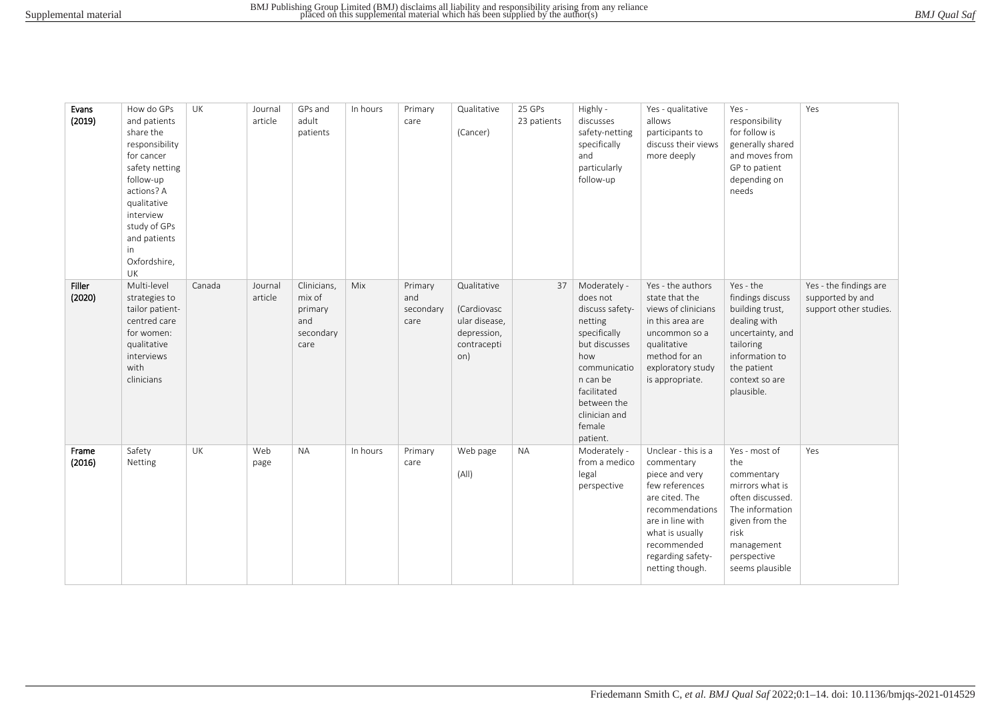| Evans<br>(2019)  | How do GPs<br>and patients<br>share the<br>responsibility<br>for cancer<br>safety netting<br>follow-up<br>actions? A<br>qualitative<br>interview<br>study of GPs<br>and patients<br>in<br>Oxfordshire,<br>UK | UK     | Journal<br>article | GPs and<br>adult<br>patients                                 | In hours | Primary<br>care                     | Qualitative<br>(Cancer)                                                          | 25 GPs<br>23 patients | Highly -<br>discusses<br>safety-netting<br>specifically<br>and<br>particularly<br>follow-up                                                                                                     | Yes - qualitative<br>allows<br>participants to<br>discuss their views<br>more deeply                                                                                                                     | Yes -<br>responsibility<br>for follow is<br>generally shared<br>and moves from<br>GP to patient<br>depending on<br>needs                                               | Yes                                                                  |
|------------------|--------------------------------------------------------------------------------------------------------------------------------------------------------------------------------------------------------------|--------|--------------------|--------------------------------------------------------------|----------|-------------------------------------|----------------------------------------------------------------------------------|-----------------------|-------------------------------------------------------------------------------------------------------------------------------------------------------------------------------------------------|----------------------------------------------------------------------------------------------------------------------------------------------------------------------------------------------------------|------------------------------------------------------------------------------------------------------------------------------------------------------------------------|----------------------------------------------------------------------|
| Filler<br>(2020) | Multi-level<br>strategies to<br>tailor patient-<br>centred care<br>for women:<br>qualitative<br>interviews<br>with<br>clinicians                                                                             | Canada | Journal<br>article | Clinicians,<br>mix of<br>primary<br>and<br>secondary<br>care | Mix      | Primary<br>and<br>secondary<br>care | Qualitative<br>(Cardiovasc<br>ular disease,<br>depression,<br>contracepti<br>on) | 37                    | Moderately -<br>does not<br>discuss safety-<br>netting<br>specifically<br>but discusses<br>how<br>communicatio<br>n can be<br>facilitated<br>between the<br>clinician and<br>female<br>patient. | Yes - the authors<br>state that the<br>views of clinicians<br>in this area are<br>uncommon so a<br>qualitative<br>method for an<br>exploratory study<br>is appropriate.                                  | Yes - the<br>findings discuss<br>building trust,<br>dealing with<br>uncertainty, and<br>tailoring<br>information to<br>the patient<br>context so are<br>plausible.     | Yes - the findings are<br>supported by and<br>support other studies. |
| Frame<br>(2016)  | Safety<br>Netting                                                                                                                                                                                            | UK     | Web<br>page        | <b>NA</b>                                                    | In hours | Primary<br>care                     | Web page<br>(A  )                                                                | <b>NA</b>             | Moderately -<br>from a medico<br>legal<br>perspective                                                                                                                                           | Unclear - this is a<br>commentary<br>piece and very<br>few references<br>are cited. The<br>recommendations<br>are in line with<br>what is usually<br>recommended<br>regarding safety-<br>netting though. | Yes - most of<br>the<br>commentary<br>mirrors what is<br>often discussed.<br>The information<br>given from the<br>risk<br>management<br>perspective<br>seems plausible | Yes                                                                  |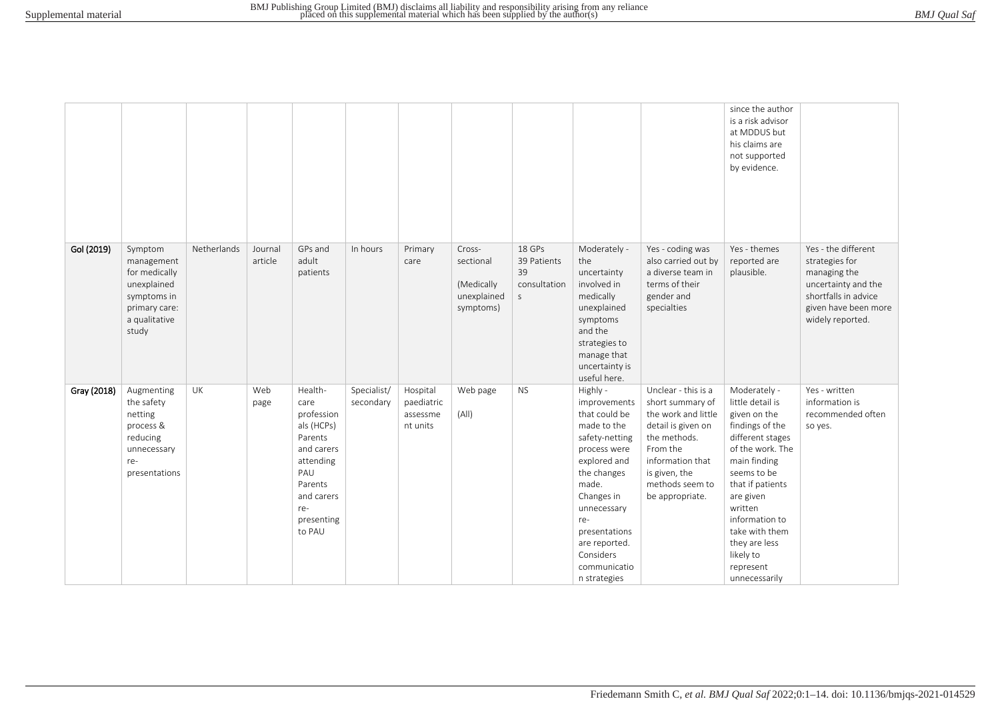|             |                                                                                                                 |             |                    |                                                                                                                                                  |                          |                                                |                                                               |                                                            |                                                                                                                                                                                                                                                       |                                                                                                                                                                                             | since the author<br>is a risk advisor<br>at MDDUS but<br>his claims are<br>not supported<br>by evidence.                                                                                                                                                                               |                                                                                                                                                  |
|-------------|-----------------------------------------------------------------------------------------------------------------|-------------|--------------------|--------------------------------------------------------------------------------------------------------------------------------------------------|--------------------------|------------------------------------------------|---------------------------------------------------------------|------------------------------------------------------------|-------------------------------------------------------------------------------------------------------------------------------------------------------------------------------------------------------------------------------------------------------|---------------------------------------------------------------------------------------------------------------------------------------------------------------------------------------------|----------------------------------------------------------------------------------------------------------------------------------------------------------------------------------------------------------------------------------------------------------------------------------------|--------------------------------------------------------------------------------------------------------------------------------------------------|
| Gol (2019)  | Symptom<br>management<br>for medically<br>unexplained<br>symptoms in<br>primary care:<br>a qualitative<br>study | Netherlands | Journal<br>article | GPs and<br>adult<br>patients                                                                                                                     | In hours                 | Primary<br>care                                | Cross-<br>sectional<br>(Medically<br>unexplained<br>symptoms) | 18 GPs<br>39 Patients<br>39<br>consultation<br>$\mathsf S$ | Moderately -<br>the<br>uncertainty<br>involved in<br>medically<br>unexplained<br>symptoms<br>and the<br>strategies to<br>manage that<br>uncertainty is<br>useful here.                                                                                | Yes - coding was<br>also carried out by<br>a diverse team in<br>terms of their<br>gender and<br>specialties                                                                                 | Yes - themes<br>reported are<br>plausible.                                                                                                                                                                                                                                             | Yes - the different<br>strategies for<br>managing the<br>uncertainty and the<br>shortfalls in advice<br>given have been more<br>widely reported. |
| Gray (2018) | Augmenting<br>the safety<br>netting<br>process &<br>reducing<br>unnecessary<br>re-<br>presentations             | UK          | Web<br>page        | Health-<br>care<br>profession<br>als (HCPs)<br>Parents<br>and carers<br>attending<br>PAU<br>Parents<br>and carers<br>re-<br>presenting<br>to PAU | Specialist/<br>secondary | Hospital<br>paediatric<br>assessme<br>nt units | Web page<br>(A  )                                             | <b>NS</b>                                                  | Highly -<br>improvements<br>that could be<br>made to the<br>safety-netting<br>process were<br>explored and<br>the changes<br>made.<br>Changes in<br>unnecessary<br>re-<br>presentations<br>are reported.<br>Considers<br>communicatio<br>n strategies | Unclear - this is a<br>short summary of<br>the work and little<br>detail is given on<br>the methods.<br>From the<br>information that<br>is given, the<br>methods seem to<br>be appropriate. | Moderately -<br>little detail is<br>given on the<br>findings of the<br>different stages<br>of the work. The<br>main finding<br>seems to be<br>that if patients<br>are given<br>written<br>information to<br>take with them<br>they are less<br>likely to<br>represent<br>unnecessarily | Yes - written<br>information is<br>recommended often<br>so yes.                                                                                  |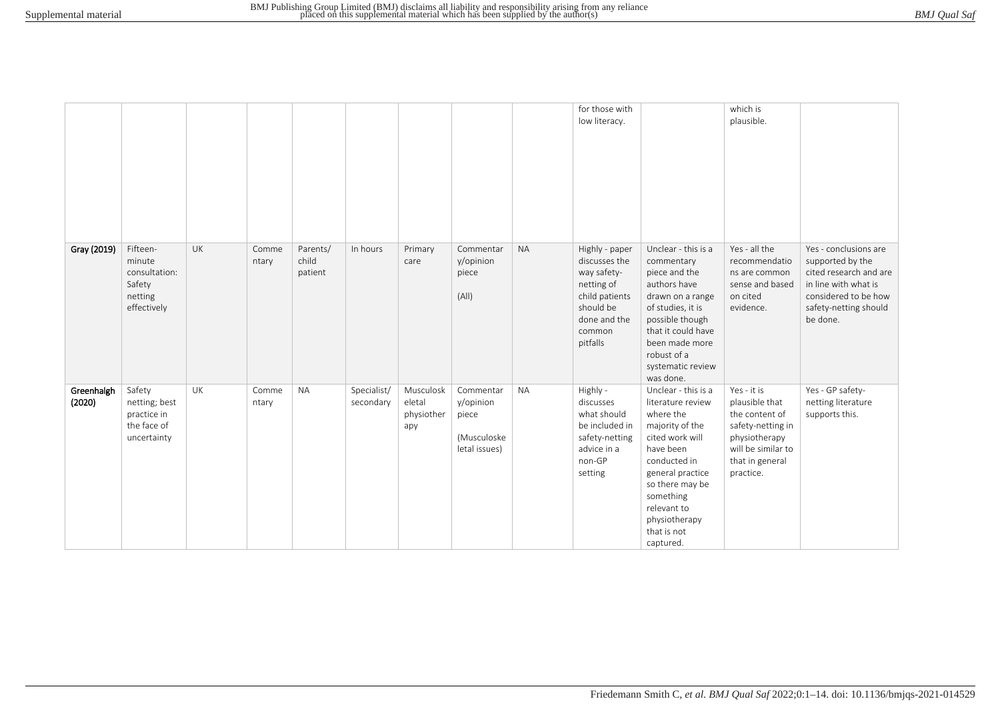|                      |                                                                         |    |                |                              |                          |                                          |                                                                 |           | for those with<br>low literacy.                                                                                                   |                                                                                                                                                                                                                                          | which is<br>plausible.                                                                                                                      |                                                                                                                                                          |
|----------------------|-------------------------------------------------------------------------|----|----------------|------------------------------|--------------------------|------------------------------------------|-----------------------------------------------------------------|-----------|-----------------------------------------------------------------------------------------------------------------------------------|------------------------------------------------------------------------------------------------------------------------------------------------------------------------------------------------------------------------------------------|---------------------------------------------------------------------------------------------------------------------------------------------|----------------------------------------------------------------------------------------------------------------------------------------------------------|
| Gray (2019)          | Fifteen-<br>minute<br>consultation:<br>Safety<br>netting<br>effectively | UK | Comme<br>ntary | Parents/<br>child<br>patient | In hours                 | Primary<br>care                          | Commentar<br>y/opinion<br>piece<br>(A  )                        | <b>NA</b> | Highly - paper<br>discusses the<br>way safety-<br>netting of<br>child patients<br>should be<br>done and the<br>common<br>pitfalls | Unclear - this is a<br>commentary<br>piece and the<br>authors have<br>drawn on a range<br>of studies, it is<br>possible though<br>that it could have<br>been made more<br>robust of a<br>systematic review<br>was done.                  | Yes - all the<br>recommendatio<br>ns are common<br>sense and based<br>on cited<br>evidence.                                                 | Yes - conclusions are<br>supported by the<br>cited research and are<br>in line with what is<br>considered to be how<br>safety-netting should<br>be done. |
| Greenhalgh<br>(2020) | Safety<br>netting; best<br>practice in<br>the face of<br>uncertainty    | UK | Comme<br>ntary | <b>NA</b>                    | Specialist/<br>secondary | Musculosk<br>eletal<br>physiother<br>apy | Commentar<br>y/opinion<br>piece<br>(Musculoske<br>letal issues) | <b>NA</b> | Highly -<br>discusses<br>what should<br>be included in<br>safety-netting<br>advice in a<br>non-GP<br>setting                      | Unclear - this is a<br>literature review<br>where the<br>majority of the<br>cited work will<br>have been<br>conducted in<br>general practice<br>so there may be<br>something<br>relevant to<br>physiotherapy<br>that is not<br>captured. | Yes - it is<br>plausible that<br>the content of<br>safety-netting in<br>physiotherapy<br>will be similar to<br>that in general<br>practice. | Yes - GP safety-<br>netting literature<br>supports this.                                                                                                 |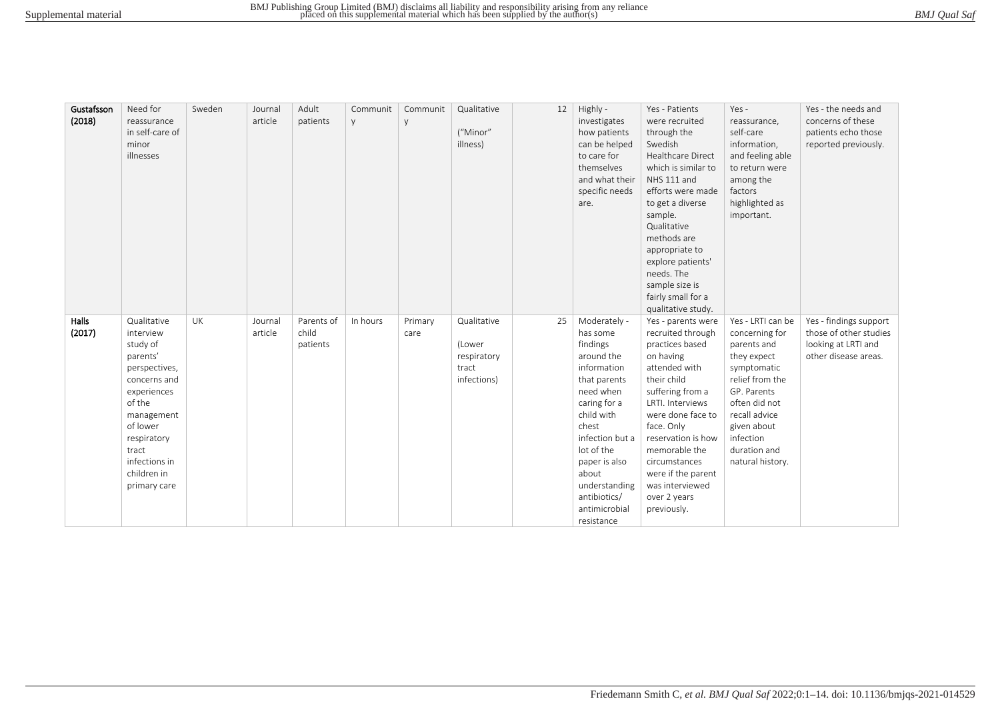| BMJ Qual Saf |  |
|--------------|--|
|--------------|--|

| Gustafsson<br>(2018) | Need for<br>reassurance<br>in self-care of<br>minor<br>illnesses                                                                                                                                             | Sweden | Journal<br>article | Adult<br>patients               | Communit<br>y | Communit<br>y   | Qualitative<br>("Minor"<br>illness)                          | 12 | Highly -<br>investigates<br>how patients<br>can be helped<br>to care for<br>themselves<br>and what their<br>specific needs<br>are.                                                                                                                               | Yes - Patients<br>were recruited<br>through the<br>Swedish<br><b>Healthcare Direct</b><br>which is similar to<br>NHS 111 and<br>efforts were made<br>to get a diverse<br>sample.<br>Qualitative<br>methods are<br>appropriate to<br>explore patients'<br>needs. The<br>sample size is<br>fairly small for a                              | Yes -<br>reassurance,<br>self-care<br>information,<br>and feeling able<br>to return were<br>among the<br>factors<br>highlighted as<br>important.                                                                     | Yes - the needs and<br>concerns of these<br>patients echo those<br>reported previously.         |
|----------------------|--------------------------------------------------------------------------------------------------------------------------------------------------------------------------------------------------------------|--------|--------------------|---------------------------------|---------------|-----------------|--------------------------------------------------------------|----|------------------------------------------------------------------------------------------------------------------------------------------------------------------------------------------------------------------------------------------------------------------|------------------------------------------------------------------------------------------------------------------------------------------------------------------------------------------------------------------------------------------------------------------------------------------------------------------------------------------|----------------------------------------------------------------------------------------------------------------------------------------------------------------------------------------------------------------------|-------------------------------------------------------------------------------------------------|
| Halls<br>(2017)      | Qualitative<br>interview<br>study of<br>parents'<br>perspectives,<br>concerns and<br>experiences<br>of the<br>management<br>of lower<br>respiratory<br>tract<br>infections in<br>children in<br>primary care | UK     | Journal<br>article | Parents of<br>child<br>patients | In hours      | Primary<br>care | Qualitative<br>(Lower<br>respiratory<br>tract<br>infections) | 25 | Moderately -<br>has some<br>findings<br>around the<br>information<br>that parents<br>need when<br>caring for a<br>child with<br>chest<br>infection but a<br>lot of the<br>paper is also<br>about<br>understanding<br>antibiotics/<br>antimicrobial<br>resistance | qualitative study.<br>Yes - parents were<br>recruited through<br>practices based<br>on having<br>attended with<br>their child<br>suffering from a<br>LRTI. Interviews<br>were done face to<br>face. Only<br>reservation is how<br>memorable the<br>circumstances<br>were if the parent<br>was interviewed<br>over 2 years<br>previously. | Yes - LRTI can be<br>concerning for<br>parents and<br>they expect<br>symptomatic<br>relief from the<br>GP. Parents<br>often did not<br>recall advice<br>given about<br>infection<br>duration and<br>natural history. | Yes - findings support<br>those of other studies<br>looking at LRTI and<br>other disease areas. |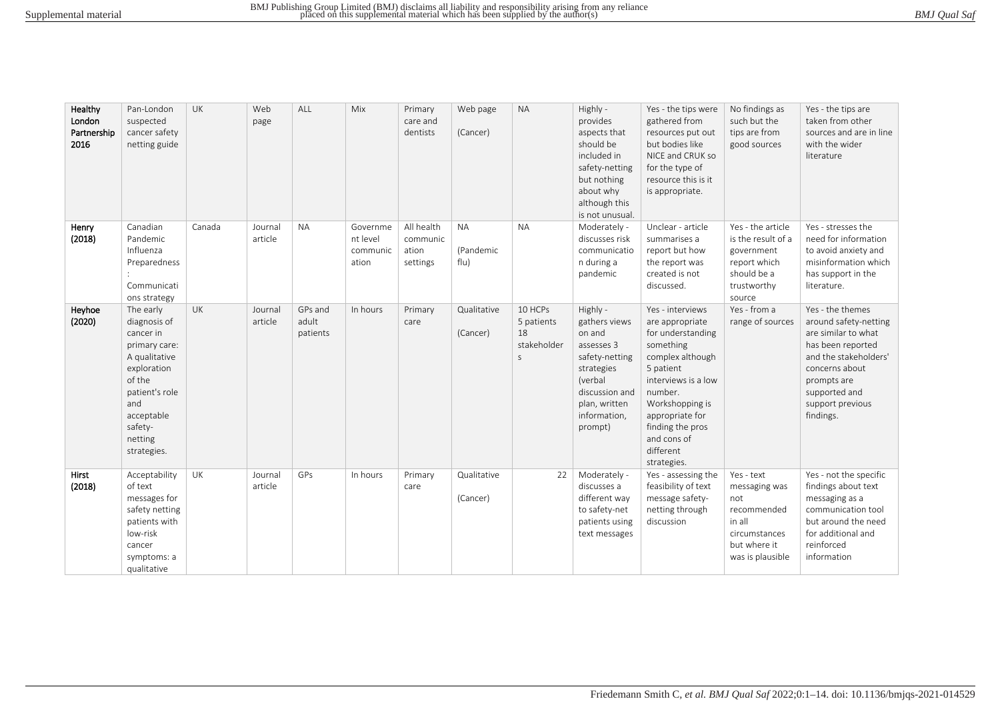| BMJ Qual Saf |
|--------------|
|--------------|

| Healthy<br>London<br>Partnership<br>2016 | Pan-London<br>suspected<br>cancer safety<br>netting guide                                                                                                                     | UK     | Web<br>page        | ALL                          | Mix                                       | Primary<br>care and<br>dentists             | Web page<br>(Cancer)           | <b>NA</b>                                       | Highly -<br>provides<br>aspects that<br>should be<br>included in<br>safety-netting<br>but nothing<br>about why<br>although this<br>is not unusual.         | Yes - the tips were<br>gathered from<br>resources put out<br>but bodies like<br>NICE and CRUK so<br>for the type of<br>resource this is it<br>is appropriate.                                                                                 | No findings as<br>such but the<br>tips are from<br>good sources                                                  | Yes - the tips are<br>taken from other<br>sources and are in line<br>with the wider<br>literature                                                                                                 |
|------------------------------------------|-------------------------------------------------------------------------------------------------------------------------------------------------------------------------------|--------|--------------------|------------------------------|-------------------------------------------|---------------------------------------------|--------------------------------|-------------------------------------------------|------------------------------------------------------------------------------------------------------------------------------------------------------------|-----------------------------------------------------------------------------------------------------------------------------------------------------------------------------------------------------------------------------------------------|------------------------------------------------------------------------------------------------------------------|---------------------------------------------------------------------------------------------------------------------------------------------------------------------------------------------------|
| Henry<br>(2018)                          | Canadian<br>Pandemic<br>Influenza<br>Preparedness<br>Communicati<br>ons strategy                                                                                              | Canada | Journal<br>article | <b>NA</b>                    | Governme<br>nt level<br>communic<br>ation | All health<br>communic<br>ation<br>settings | <b>NA</b><br>(Pandemic<br>f u) | <b>NA</b>                                       | Moderately -<br>discusses risk<br>communicatio<br>n during a<br>pandemic                                                                                   | Unclear - article<br>summarises a<br>report but how<br>the report was<br>created is not<br>discussed.                                                                                                                                         | Yes - the article<br>is the result of a<br>government<br>report which<br>should be a<br>trustworthy<br>source    | Yes - stresses the<br>need for information<br>to avoid anxiety and<br>misinformation which<br>has support in the<br>literature.                                                                   |
| Heyhoe<br>(2020)                         | The early<br>diagnosis of<br>cancer in<br>primary care:<br>A qualitative<br>exploration<br>of the<br>patient's role<br>and<br>acceptable<br>safety-<br>netting<br>strategies. | UK     | Journal<br>article | GPs and<br>adult<br>patients | In hours                                  | Primary<br>care                             | Qualitative<br>(Cancer)        | 10 HCPs<br>5 patients<br>18<br>stakeholder<br>S | Highly -<br>gathers views<br>on and<br>assesses 3<br>safety-netting<br>strategies<br>(verbal<br>discussion and<br>plan, written<br>information,<br>prompt) | Yes - interviews<br>are appropriate<br>for understanding<br>something<br>complex although<br>5 patient<br>interviews is a low<br>number.<br>Workshopping is<br>appropriate for<br>finding the pros<br>and cons of<br>different<br>strategies. | Yes - from a<br>range of sources                                                                                 | Yes - the themes<br>around safety-netting<br>are similar to what<br>has been reported<br>and the stakeholders'<br>concerns about<br>prompts are<br>supported and<br>support previous<br>findings. |
| <b>Hirst</b><br>(2018)                   | Acceptability<br>of text<br>messages for<br>safety netting<br>patients with<br>low-risk<br>cancer<br>symptoms: a<br>qualitative                                               | UK     | Journal<br>article | GPs                          | In hours                                  | Primary<br>care                             | Qualitative<br>(Cancer)        | 22                                              | Moderately -<br>discusses a<br>different way<br>to safety-net<br>patients using<br>text messages                                                           | Yes - assessing the<br>feasibility of text<br>message safety-<br>netting through<br>discussion                                                                                                                                                | Yes - text<br>messaging was<br>not<br>recommended<br>in all<br>circumstances<br>but where it<br>was is plausible | Yes - not the specific<br>findings about text<br>messaging as a<br>communication tool<br>but around the need<br>for additional and<br>reinforced<br>information                                   |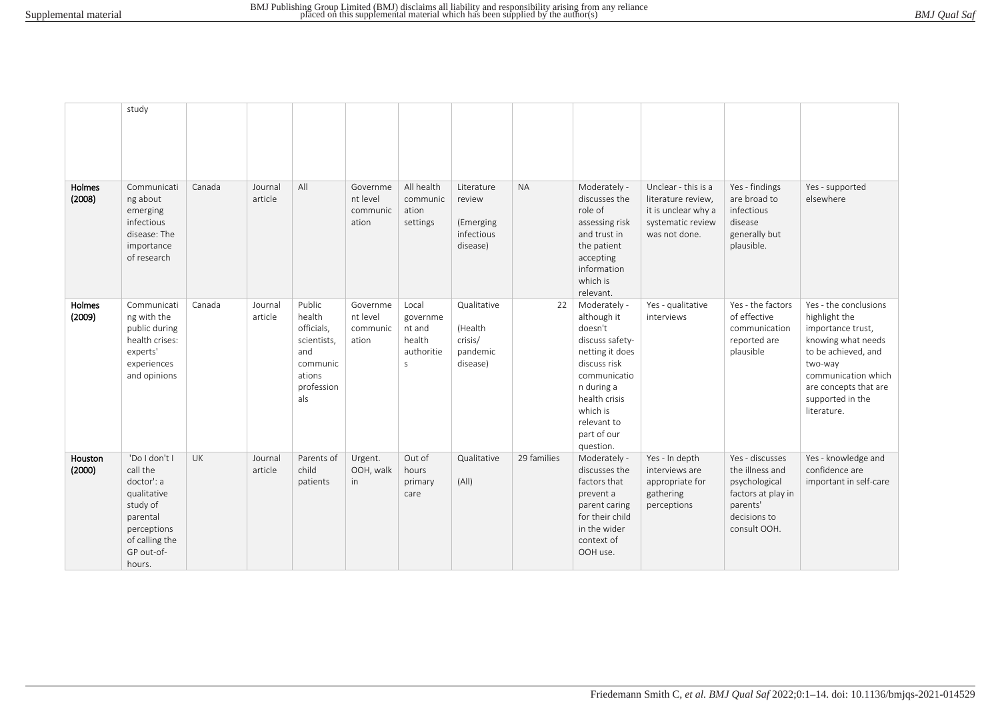|                   | study                                                                                                                                   |        |                    |                                                                                                 |                                           |                                                                     |                                                             |             |                                                                                                                                                                                                    |                                                                                                        |                                                                                                                       |                                                                                                                                                                                                        |
|-------------------|-----------------------------------------------------------------------------------------------------------------------------------------|--------|--------------------|-------------------------------------------------------------------------------------------------|-------------------------------------------|---------------------------------------------------------------------|-------------------------------------------------------------|-------------|----------------------------------------------------------------------------------------------------------------------------------------------------------------------------------------------------|--------------------------------------------------------------------------------------------------------|-----------------------------------------------------------------------------------------------------------------------|--------------------------------------------------------------------------------------------------------------------------------------------------------------------------------------------------------|
| Holmes<br>(2008)  | Communicati<br>ng about<br>emerging<br>infectious<br>disease: The<br>importance<br>of research                                          | Canada | Journal<br>article | All                                                                                             | Governme<br>nt level<br>communic<br>ation | All health<br>communic<br>ation<br>settings                         | Literature<br>review<br>(Emerging<br>infectious<br>disease) | <b>NA</b>   | Moderately -<br>discusses the<br>role of<br>assessing risk<br>and trust in<br>the patient<br>accepting<br>information<br>which is<br>relevant.                                                     | Unclear - this is a<br>literature review,<br>it is unclear why a<br>systematic review<br>was not done. | Yes - findings<br>are broad to<br>infectious<br>disease<br>generally but<br>plausible.                                | Yes - supported<br>elsewhere                                                                                                                                                                           |
| Holmes<br>(2009)  | Communicati<br>ng with the<br>public during<br>health crises:<br>experts'<br>experiences<br>and opinions                                | Canada | Journal<br>article | Public<br>health<br>officials,<br>scientists,<br>and<br>communic<br>ations<br>profession<br>als | Governme<br>nt level<br>communic<br>ation | Local<br>governme<br>nt and<br>health<br>authoritie<br>$\mathsf{S}$ | Qualitative<br>(Health<br>crisis/<br>pandemic<br>disease)   | 22          | Moderately -<br>although it<br>doesn't<br>discuss safety-<br>netting it does<br>discuss risk<br>communicatio<br>n during a<br>health crisis<br>which is<br>relevant to<br>part of our<br>question. | Yes - qualitative<br>interviews                                                                        | Yes - the factors<br>of effective<br>communication<br>reported are<br>plausible                                       | Yes - the conclusions<br>highlight the<br>importance trust,<br>knowing what needs<br>to be achieved, and<br>two-way<br>communication which<br>are concepts that are<br>supported in the<br>literature. |
| Houston<br>(2000) | 'Do I don't I<br>call the<br>doctor': a<br>qualitative<br>study of<br>parental<br>perceptions<br>of calling the<br>GP out-of-<br>hours. | UK     | Journal<br>article | Parents of<br>child<br>patients                                                                 | Urgent.<br>OOH, walk<br>in                | Out of<br>hours<br>primary<br>care                                  | Qualitative<br>(A  )                                        | 29 families | Moderately -<br>discusses the<br>factors that<br>prevent a<br>parent caring<br>for their child<br>in the wider<br>context of<br>OOH use.                                                           | Yes - In depth<br>interviews are<br>appropriate for<br>gathering<br>perceptions                        | Yes - discusses<br>the illness and<br>psychological<br>factors at play in<br>parents'<br>decisions to<br>consult OOH. | Yes - knowledge and<br>confidence are<br>important in self-care                                                                                                                                        |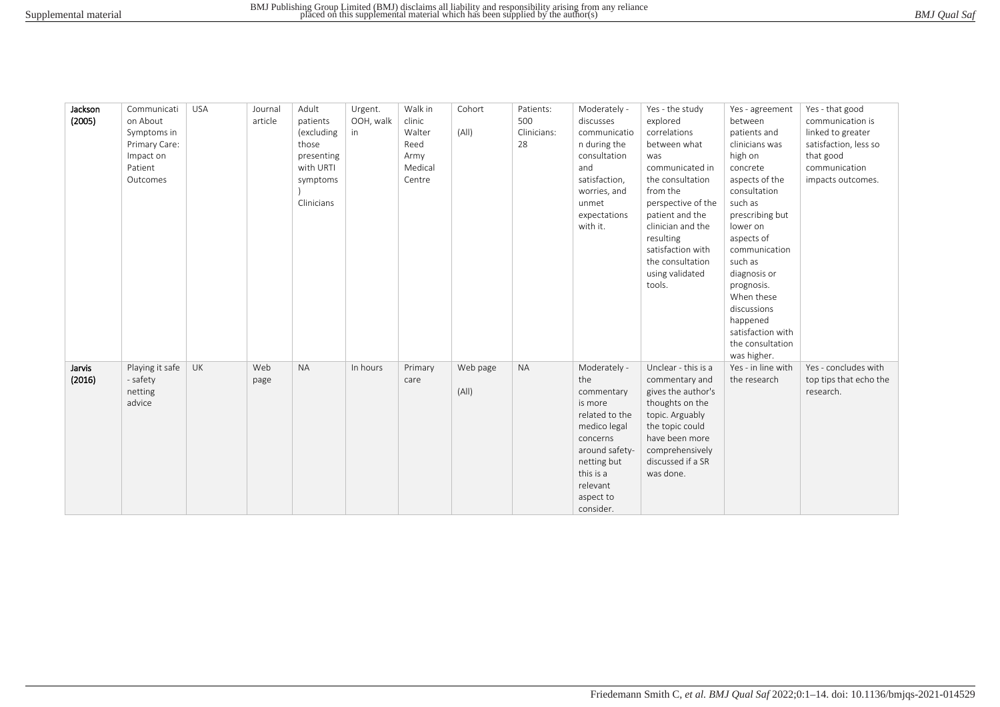| BMJ Qual Saf |
|--------------|
|--------------|

| Jackson | Communicati     | <b>USA</b> | Journal | Adult      | Urgent.   | Walk in | Cohort   | Patients:   | Moderately -   | Yes - the study     | Yes - agreement    | Yes - that good        |
|---------|-----------------|------------|---------|------------|-----------|---------|----------|-------------|----------------|---------------------|--------------------|------------------------|
| (2005)  | on About        |            | article | patients   | OOH, walk | clinic  |          | 500         | discusses      | explored            | between            | communication is       |
|         | Symptoms in     |            |         | (excluding | in        | Walter  | (A  )    | Clinicians: | communicatio   | correlations        | patients and       | linked to greater      |
|         | Primary Care:   |            |         | those      |           | Reed    |          | 28          | n during the   | between what        | clinicians was     | satisfaction, less so  |
|         | Impact on       |            |         | presenting |           | Army    |          |             | consultation   | was                 | high on            | that good              |
|         | Patient         |            |         | with URTI  |           | Medical |          |             | and            | communicated in     | concrete           | communication          |
|         | Outcomes        |            |         | symptoms   |           | Centre  |          |             | satisfaction,  | the consultation    | aspects of the     | impacts outcomes.      |
|         |                 |            |         |            |           |         |          |             | worries, and   | from the            | consultation       |                        |
|         |                 |            |         | Clinicians |           |         |          |             | unmet          | perspective of the  | such as            |                        |
|         |                 |            |         |            |           |         |          |             | expectations   | patient and the     | prescribing but    |                        |
|         |                 |            |         |            |           |         |          |             | with it.       | clinician and the   | lower on           |                        |
|         |                 |            |         |            |           |         |          |             |                | resulting           | aspects of         |                        |
|         |                 |            |         |            |           |         |          |             |                | satisfaction with   | communication      |                        |
|         |                 |            |         |            |           |         |          |             |                | the consultation    | such as            |                        |
|         |                 |            |         |            |           |         |          |             |                | using validated     | diagnosis or       |                        |
|         |                 |            |         |            |           |         |          |             |                | tools.              | prognosis.         |                        |
|         |                 |            |         |            |           |         |          |             |                |                     | When these         |                        |
|         |                 |            |         |            |           |         |          |             |                |                     | discussions        |                        |
|         |                 |            |         |            |           |         |          |             |                |                     | happened           |                        |
|         |                 |            |         |            |           |         |          |             |                |                     | satisfaction with  |                        |
|         |                 |            |         |            |           |         |          |             |                |                     | the consultation   |                        |
|         |                 |            |         |            |           |         |          |             |                |                     | was higher.        |                        |
| Jarvis  | Playing it safe | <b>UK</b>  | Web     | <b>NA</b>  | In hours  | Primary | Web page | <b>NA</b>   | Moderately -   | Unclear - this is a | Yes - in line with | Yes - concludes with   |
| (2016)  | - safety        |            | page    |            |           | care    |          |             | the            | commentary and      | the research       | top tips that echo the |
|         | netting         |            |         |            |           |         | (A  )    |             | commentary     | gives the author's  |                    | research.              |
|         | advice          |            |         |            |           |         |          |             | is more        | thoughts on the     |                    |                        |
|         |                 |            |         |            |           |         |          |             | related to the | topic. Arguably     |                    |                        |
|         |                 |            |         |            |           |         |          |             | medico legal   | the topic could     |                    |                        |
|         |                 |            |         |            |           |         |          |             | concerns       | have been more      |                    |                        |
|         |                 |            |         |            |           |         |          |             | around safety- | comprehensively     |                    |                        |
|         |                 |            |         |            |           |         |          |             | netting but    | discussed if a SR   |                    |                        |
|         |                 |            |         |            |           |         |          |             | this is a      | was done.           |                    |                        |
|         |                 |            |         |            |           |         |          |             | relevant       |                     |                    |                        |
|         |                 |            |         |            |           |         |          |             | aspect to      |                     |                    |                        |
|         |                 |            |         |            |           |         |          |             | consider.      |                     |                    |                        |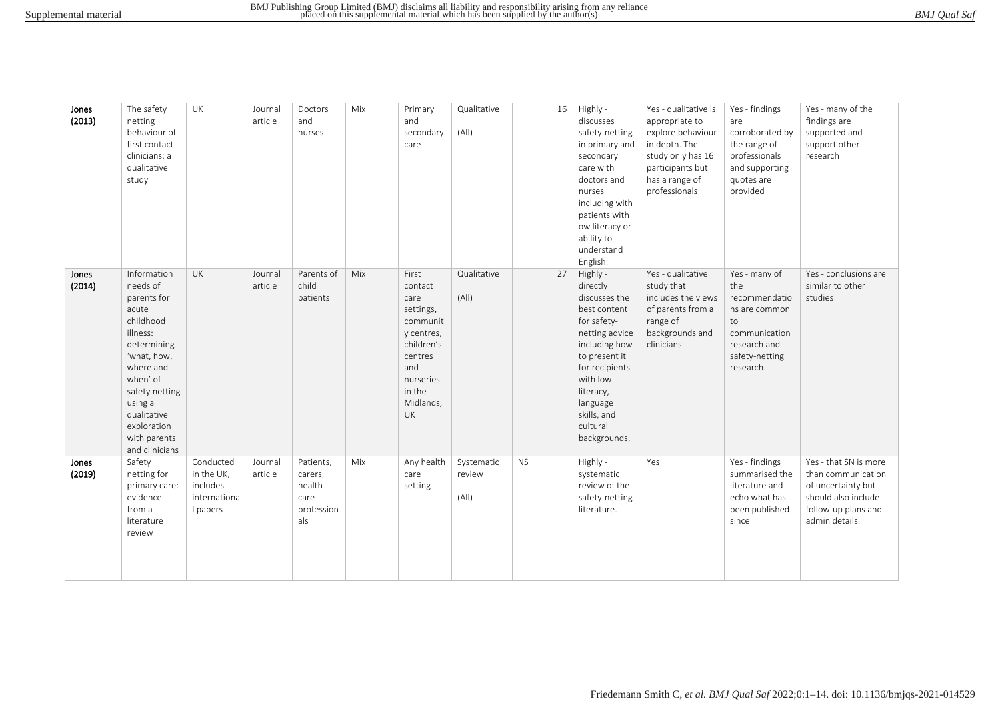| BMJ Qual Saf |  |
|--------------|--|
|--------------|--|

| Jones<br>(2013) | The safety<br>netting<br>behaviour of<br>first contact<br>clinicians: a<br>qualitative<br>study                                                                                                                              | UK                                                              | Journal<br>article | Doctors<br>and<br>nurses                                    | Mix | Primary<br>and<br>secondary<br>care                                                                                                       | Qualitative<br>(A  )          | 16        | Highly -<br>discusses<br>safety-netting<br>in primary and<br>secondary<br>care with<br>doctors and<br>nurses<br>including with<br>patients with<br>ow literacy or<br>ability to<br>understand<br>English.                  | Yes - qualitative is<br>appropriate to<br>explore behaviour<br>in depth. The<br>study only has 16<br>participants but<br>has a range of<br>professionals | Yes - findings<br>are<br>corroborated by<br>the range of<br>professionals<br>and supporting<br>quotes are<br>provided        | Yes - many of the<br>findings are<br>supported and<br>support other<br>research                                                   |
|-----------------|------------------------------------------------------------------------------------------------------------------------------------------------------------------------------------------------------------------------------|-----------------------------------------------------------------|--------------------|-------------------------------------------------------------|-----|-------------------------------------------------------------------------------------------------------------------------------------------|-------------------------------|-----------|----------------------------------------------------------------------------------------------------------------------------------------------------------------------------------------------------------------------------|----------------------------------------------------------------------------------------------------------------------------------------------------------|------------------------------------------------------------------------------------------------------------------------------|-----------------------------------------------------------------------------------------------------------------------------------|
| Jones<br>(2014) | Information<br>needs of<br>parents for<br>acute<br>childhood<br>illness:<br>determining<br>'what, how,<br>where and<br>when' of<br>safety netting<br>using a<br>qualitative<br>exploration<br>with parents<br>and clinicians | <b>UK</b>                                                       | Journal<br>article | Parents of<br>child<br>patients                             | Mix | First<br>contact<br>care<br>settings,<br>communit<br>y centres,<br>children's<br>centres<br>and<br>nurseries<br>in the<br>Midlands,<br>UK | Qualitative<br>(A  )          | 27        | Highly -<br>directly<br>discusses the<br>best content<br>for safety-<br>netting advice<br>including how<br>to present it<br>for recipients<br>with low<br>literacy,<br>language<br>skills, and<br>cultural<br>backgrounds. | Yes - qualitative<br>study that<br>includes the views<br>of parents from a<br>range of<br>backgrounds and<br>clinicians                                  | Yes - many of<br>the<br>recommendatio<br>ns are common<br>to<br>communication<br>research and<br>safety-netting<br>research. | Yes - conclusions are<br>similar to other<br>studies                                                                              |
| Jones<br>(2019) | Safety<br>netting for<br>primary care:<br>evidence<br>from a<br>literature<br>review                                                                                                                                         | Conducted<br>in the UK,<br>includes<br>internationa<br>I papers | Journal<br>article | Patients,<br>carers,<br>health<br>care<br>profession<br>als | Mix | Any health<br>care<br>setting                                                                                                             | Systematic<br>review<br>(A  ) | <b>NS</b> | Highly -<br>systematic<br>review of the<br>safety-netting<br>literature.                                                                                                                                                   | Yes                                                                                                                                                      | Yes - findings<br>summarised the<br>literature and<br>echo what has<br>been published<br>since                               | Yes - that SN is more<br>than communication<br>of uncertainty but<br>should also include<br>follow-up plans and<br>admin details. |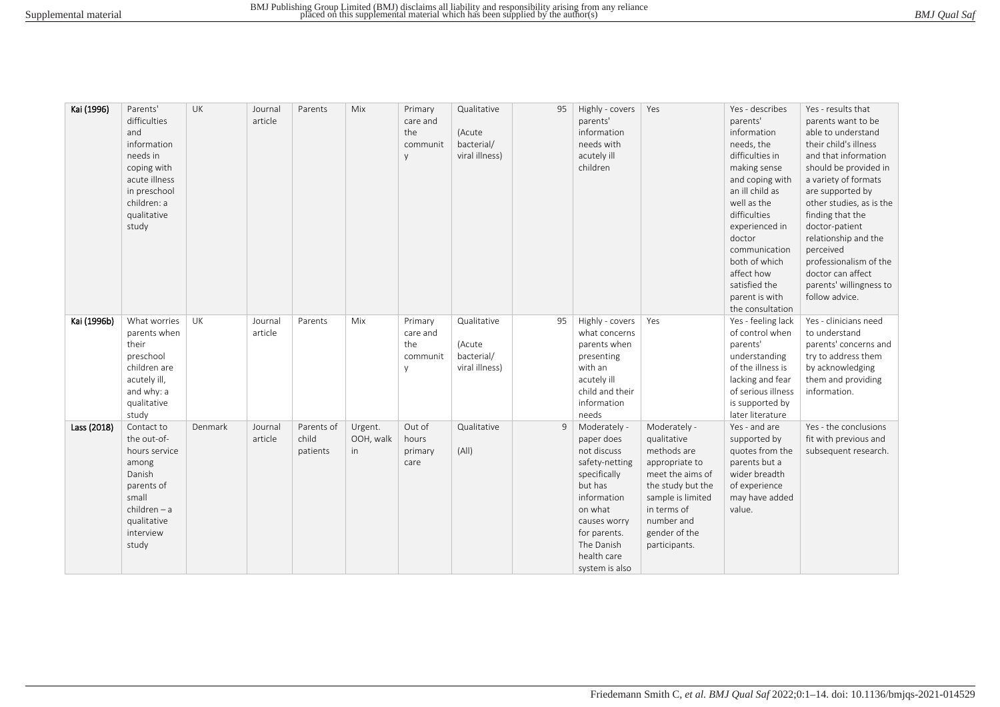| Kai (1996)  | Parents'<br>difficulties<br>and<br>information<br>needs in<br>coping with<br>acute illness<br>in preschool<br>children: a<br>qualitative<br>study | UK        | Journal<br>article | Parents                         | Mix                        | Primary<br>care and<br>the<br>communit<br>y | Qualitative<br>(Acute<br>bacterial/<br>viral illness) | 95 | Highly - covers<br>parents'<br>information<br>needs with<br>acutely ill<br>children                                                                                                             | Yes                                                                                                                                                                                       | Yes - describes<br>parents'<br>information<br>needs, the<br>difficulties in<br>making sense<br>and coping with<br>an ill child as<br>well as the<br>difficulties<br>experienced in<br>doctor<br>communication<br>both of which<br>affect how<br>satisfied the<br>parent is with<br>the consultation | Yes - results that<br>parents want to be<br>able to understand<br>their child's illness<br>and that information<br>should be provided in<br>a variety of formats<br>are supported by<br>other studies, as is the<br>finding that the<br>doctor-patient<br>relationship and the<br>perceived<br>professionalism of the<br>doctor can affect<br>parents' willingness to<br>follow advice. |
|-------------|---------------------------------------------------------------------------------------------------------------------------------------------------|-----------|--------------------|---------------------------------|----------------------------|---------------------------------------------|-------------------------------------------------------|----|-------------------------------------------------------------------------------------------------------------------------------------------------------------------------------------------------|-------------------------------------------------------------------------------------------------------------------------------------------------------------------------------------------|-----------------------------------------------------------------------------------------------------------------------------------------------------------------------------------------------------------------------------------------------------------------------------------------------------|-----------------------------------------------------------------------------------------------------------------------------------------------------------------------------------------------------------------------------------------------------------------------------------------------------------------------------------------------------------------------------------------|
| Kai (1996b) | What worries<br>parents when                                                                                                                      | <b>UK</b> | Journal<br>article | Parents                         | Mix                        | Primary<br>care and                         | Qualitative                                           | 95 | Highly - covers<br>what concerns                                                                                                                                                                | Yes                                                                                                                                                                                       | Yes - feeling lack<br>of control when                                                                                                                                                                                                                                                               | Yes - clinicians need<br>to understand                                                                                                                                                                                                                                                                                                                                                  |
|             | their<br>preschool<br>children are<br>acutely ill,<br>and why: a<br>qualitative                                                                   |           |                    |                                 |                            | the<br>communit<br>V                        | (Acute<br>bacterial/<br>viral illness)                |    | parents when<br>presenting<br>with an<br>acutely ill<br>child and their<br>information                                                                                                          |                                                                                                                                                                                           | parents'<br>understanding<br>of the illness is<br>lacking and fear<br>of serious illness<br>is supported by                                                                                                                                                                                         | parents' concerns and<br>try to address them<br>by acknowledging<br>them and providing<br>information.                                                                                                                                                                                                                                                                                  |
|             | study                                                                                                                                             |           |                    |                                 |                            |                                             |                                                       |    | needs                                                                                                                                                                                           |                                                                                                                                                                                           | later literature                                                                                                                                                                                                                                                                                    |                                                                                                                                                                                                                                                                                                                                                                                         |
| Lass (2018) | Contact to<br>the out-of-<br>hours service<br>among<br>Danish<br>parents of<br>small<br>$children - a$<br>qualitative<br>interview<br>study       | Denmark   | Journal<br>article | Parents of<br>child<br>patients | Urgent.<br>OOH, walk<br>in | Out of<br>hours<br>primary<br>care          | Qualitative<br>(A  )                                  | 9  | Moderately -<br>paper does<br>not discuss<br>safety-netting<br>specifically<br>but has<br>information<br>on what<br>causes worry<br>for parents.<br>The Danish<br>health care<br>system is also | Moderately -<br>qualitative<br>methods are<br>appropriate to<br>meet the aims of<br>the study but the<br>sample is limited<br>in terms of<br>number and<br>gender of the<br>participants. | Yes - and are<br>supported by<br>quotes from the<br>parents but a<br>wider breadth<br>of experience<br>may have added<br>value.                                                                                                                                                                     | Yes - the conclusions<br>fit with previous and<br>subsequent research.                                                                                                                                                                                                                                                                                                                  |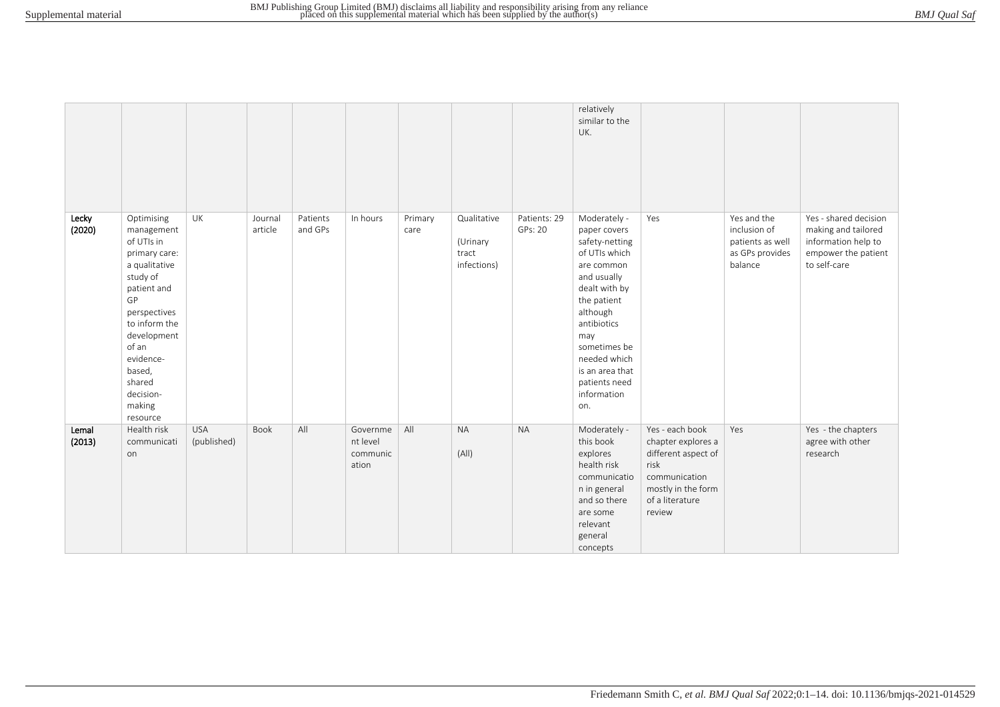|                 |                                                                                                                                                                                                                                        |                           |                    |                     |                                           |                 |                                                 |                         | relatively<br>similar to the<br>UK.                                                                                                                                                                                                                      |                                                                                                                                          |                                                                               |                                                                                                            |
|-----------------|----------------------------------------------------------------------------------------------------------------------------------------------------------------------------------------------------------------------------------------|---------------------------|--------------------|---------------------|-------------------------------------------|-----------------|-------------------------------------------------|-------------------------|----------------------------------------------------------------------------------------------------------------------------------------------------------------------------------------------------------------------------------------------------------|------------------------------------------------------------------------------------------------------------------------------------------|-------------------------------------------------------------------------------|------------------------------------------------------------------------------------------------------------|
| Lecky<br>(2020) | Optimising<br>management<br>of UTIs in<br>primary care:<br>a qualitative<br>study of<br>patient and<br>GP<br>perspectives<br>to inform the<br>development<br>of an<br>evidence-<br>based,<br>shared<br>decision-<br>making<br>resource | UK                        | Journal<br>article | Patients<br>and GPs | In hours                                  | Primary<br>care | Qualitative<br>(Urinary<br>tract<br>infections) | Patients: 29<br>GPs: 20 | Moderately -<br>paper covers<br>safety-netting<br>of UTIs which<br>are common<br>and usually<br>dealt with by<br>the patient<br>although<br>antibiotics<br>may<br>sometimes be<br>needed which<br>is an area that<br>patients need<br>information<br>on. | Yes                                                                                                                                      | Yes and the<br>inclusion of<br>patients as well<br>as GPs provides<br>balance | Yes - shared decision<br>making and tailored<br>information help to<br>empower the patient<br>to self-care |
| Lemal<br>(2013) | Health risk<br>communicati<br>on                                                                                                                                                                                                       | <b>USA</b><br>(published) | Book               | All                 | Governme<br>nt level<br>communic<br>ation | All             | <b>NA</b><br>(A  )                              | <b>NA</b>               | Moderately -<br>this book<br>explores<br>health risk<br>communicatio<br>n in general<br>and so there<br>are some<br>relevant<br>general<br>concepts                                                                                                      | Yes - each book<br>chapter explores a<br>different aspect of<br>risk<br>communication<br>mostly in the form<br>of a literature<br>review | Yes                                                                           | Yes - the chapters<br>agree with other<br>research                                                         |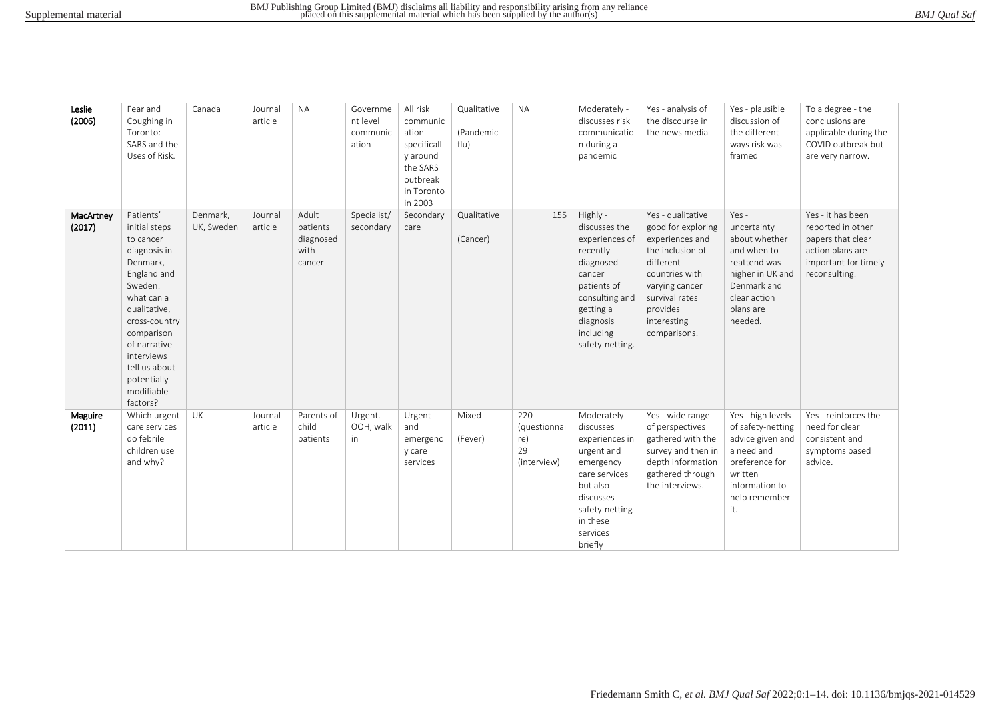| BMJ Qual Saf |
|--------------|
|--------------|

| Leslie<br>(2006)    | Fear and<br>Coughing in<br>Toronto:<br>SARS and the<br>Uses of Risk.                                                                                                                                                                               | Canada                 | Journal<br>article | <b>NA</b>                                        | Governme<br>nt level<br>communic<br>ation | All risk<br>communic<br>ation<br>specificall<br>y around<br>the SARS<br>outbreak<br>in Toronto<br>in 2003 | Qualitative<br>(Pandemic<br>flu) | <b>NA</b>                                       | Moderately -<br>discusses risk<br>communicatio<br>n during a<br>pandemic                                                                                                  | Yes - analysis of<br>the discourse in<br>the news media                                                                                                                                      | Yes - plausible<br>discussion of<br>the different<br>ways risk was<br>framed                                                                    | To a degree - the<br>conclusions are<br>applicable during the<br>COVID outbreak but<br>are very narrow.                  |
|---------------------|----------------------------------------------------------------------------------------------------------------------------------------------------------------------------------------------------------------------------------------------------|------------------------|--------------------|--------------------------------------------------|-------------------------------------------|-----------------------------------------------------------------------------------------------------------|----------------------------------|-------------------------------------------------|---------------------------------------------------------------------------------------------------------------------------------------------------------------------------|----------------------------------------------------------------------------------------------------------------------------------------------------------------------------------------------|-------------------------------------------------------------------------------------------------------------------------------------------------|--------------------------------------------------------------------------------------------------------------------------|
| MacArtney<br>(2017) | Patients'<br>initial steps<br>to cancer<br>diagnosis in<br>Denmark,<br>England and<br>Sweden:<br>what can a<br>qualitative,<br>cross-country<br>comparison<br>of narrative<br>interviews<br>tell us about<br>potentially<br>modifiable<br>factors? | Denmark,<br>UK, Sweden | Journal<br>article | Adult<br>patients<br>diagnosed<br>with<br>cancer | Specialist/<br>secondary                  | Secondary<br>care                                                                                         | Qualitative<br>(Cancer)          | 155                                             | Highly -<br>discusses the<br>experiences of<br>recently<br>diagnosed<br>cancer<br>patients of<br>consulting and<br>getting a<br>diagnosis<br>including<br>safety-netting. | Yes - qualitative<br>good for exploring<br>experiences and<br>the inclusion of<br>different<br>countries with<br>varying cancer<br>survival rates<br>provides<br>interesting<br>comparisons. | Yes -<br>uncertainty<br>about whether<br>and when to<br>reattend was<br>higher in UK and<br>Denmark and<br>clear action<br>plans are<br>needed. | Yes - it has been<br>reported in other<br>papers that clear<br>action plans are<br>important for timely<br>reconsulting. |
| Maguire<br>(2011)   | Which urgent<br>care services<br>do febrile<br>children use<br>and why?                                                                                                                                                                            | UK                     | Journal<br>article | Parents of<br>child<br>patients                  | Urgent.<br>OOH, walk<br>in                | Urgent<br>and<br>emergenc<br>y care<br>services                                                           | Mixed<br>(Fever)                 | 220<br>(questionnai<br>re)<br>29<br>(interview) | Moderately -<br>discusses<br>experiences in<br>urgent and<br>emergency<br>care services<br>but also<br>discusses<br>safety-netting<br>in these<br>services<br>briefly     | Yes - wide range<br>of perspectives<br>gathered with the<br>survey and then in<br>depth information<br>gathered through<br>the interviews.                                                   | Yes - high levels<br>of safety-netting<br>advice given and<br>a need and<br>preference for<br>written<br>information to<br>help remember<br>it. | Yes - reinforces the<br>need for clear<br>consistent and<br>symptoms based<br>advice.                                    |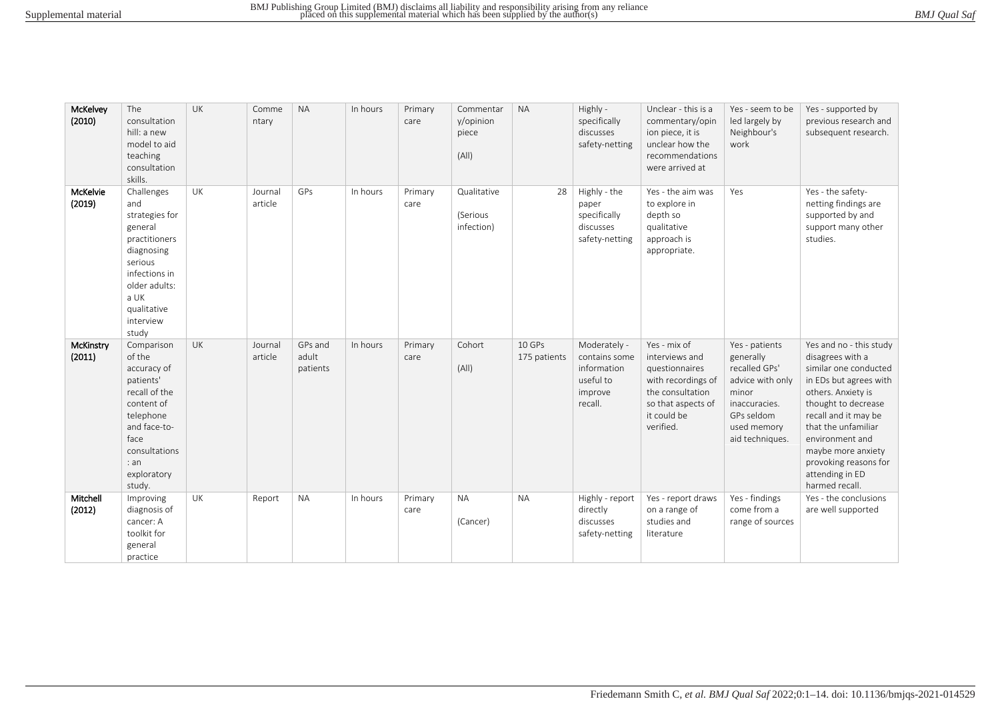|  | BMJ Qual Saf |  |
|--|--------------|--|
|--|--------------|--|

| McKelvey<br>(2010)  | The<br>consultation<br>hill: a new<br>model to aid<br>teaching<br>consultation<br>skills.                                                                               | <b>UK</b> | Comme<br>ntary     | <b>NA</b>                    | In hours | Primary<br>care | Commentar<br>y/opinion<br>piece<br>(A  ) | <b>NA</b>              | Highly -<br>specifically<br>discusses<br>safety-netting                         | Unclear - this is a<br>commentary/opin<br>ion piece, it is<br>unclear how the<br>recommendations<br>were arrived at                          | Yes - seem to be<br>led largely by<br>Neighbour's<br>work                                                                                  | Yes - supported by<br>previous research and<br>subsequent research.                                                                                                                                                                                                                               |
|---------------------|-------------------------------------------------------------------------------------------------------------------------------------------------------------------------|-----------|--------------------|------------------------------|----------|-----------------|------------------------------------------|------------------------|---------------------------------------------------------------------------------|----------------------------------------------------------------------------------------------------------------------------------------------|--------------------------------------------------------------------------------------------------------------------------------------------|---------------------------------------------------------------------------------------------------------------------------------------------------------------------------------------------------------------------------------------------------------------------------------------------------|
| McKelvie<br>(2019)  | Challenges<br>and<br>strategies for<br>general<br>practitioners<br>diagnosing<br>serious<br>infections in<br>older adults:<br>a UK<br>qualitative<br>interview<br>study | UK        | Journal<br>article | GPs                          | In hours | Primary<br>care | Qualitative<br>(Serious<br>infection)    | 28                     | Highly - the<br>paper<br>specifically<br>discusses<br>safety-netting            | Yes - the aim was<br>to explore in<br>depth so<br>qualitative<br>approach is<br>appropriate.                                                 | Yes                                                                                                                                        | Yes - the safety-<br>netting findings are<br>supported by and<br>support many other<br>studies.                                                                                                                                                                                                   |
| McKinstry<br>(2011) | Comparison<br>of the<br>accuracy of<br>patients'<br>recall of the<br>content of<br>telephone<br>and face-to-<br>face<br>consultations<br>: an<br>exploratory<br>study.  | UK        | Journal<br>article | GPs and<br>adult<br>patients | In hours | Primary<br>care | Cohort<br>(A  )                          | 10 GPs<br>175 patients | Moderately -<br>contains some<br>information<br>useful to<br>improve<br>recall. | Yes - mix of<br>interviews and<br>questionnaires<br>with recordings of<br>the consultation<br>so that aspects of<br>it could be<br>verified. | Yes - patients<br>generally<br>recalled GPs'<br>advice with only<br>minor<br>inaccuracies.<br>GPs seldom<br>used memory<br>aid techniques. | Yes and no - this study<br>disagrees with a<br>similar one conducted<br>in EDs but agrees with<br>others. Anxiety is<br>thought to decrease<br>recall and it may be<br>that the unfamiliar<br>environment and<br>maybe more anxiety<br>provoking reasons for<br>attending in ED<br>harmed recall. |
| Mitchell<br>(2012)  | Improving<br>diagnosis of<br>cancer: A<br>toolkit for<br>general<br>practice                                                                                            | UK        | Report             | <b>NA</b>                    | In hours | Primary<br>care | <b>NA</b><br>(Cancer)                    | <b>NA</b>              | Highly - report<br>directly<br>discusses<br>safety-netting                      | Yes - report draws<br>on a range of<br>studies and<br>literature                                                                             | Yes - findings<br>come from a<br>range of sources                                                                                          | Yes - the conclusions<br>are well supported                                                                                                                                                                                                                                                       |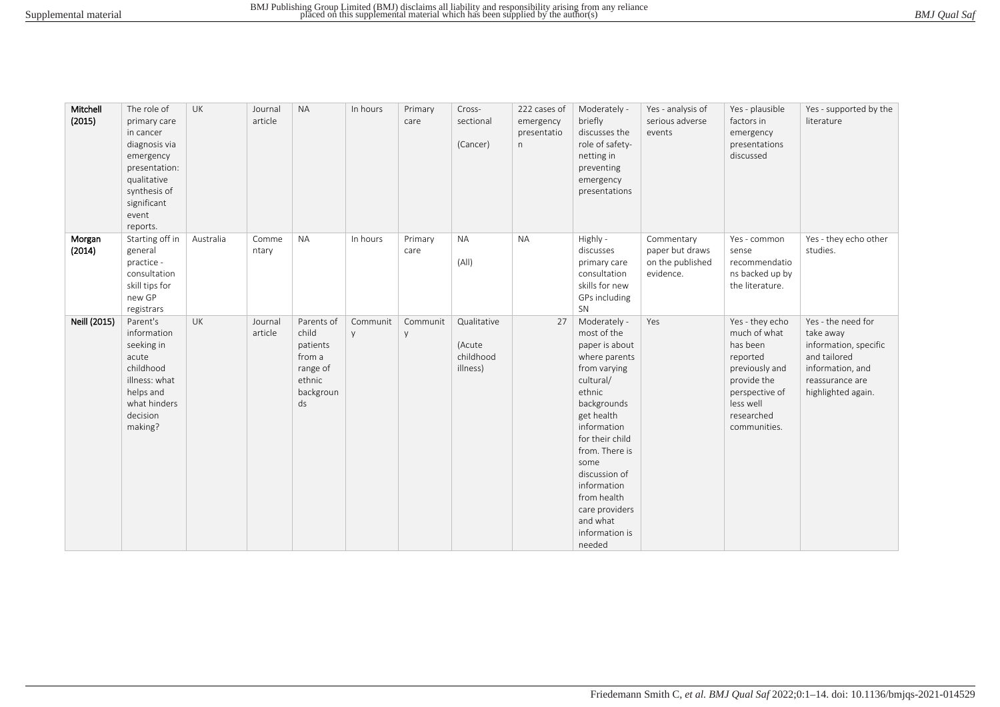| BMJ Qual Saf |
|--------------|
|--------------|

| Mitchell<br>(2015) | The role of<br>primary care<br>in cancer<br>diagnosis via<br>emergency<br>presentation:<br>qualitative<br>synthesis of<br>significant<br>event<br>reports. | UK        | Journal<br>article | <b>NA</b>                                                                          | In hours      | Primary<br>care | Cross-<br>sectional<br>(Cancer)                | 222 cases of<br>emergency<br>presentatio<br>n | Moderately -<br>briefly<br>discusses the<br>role of safety-<br>netting in<br>preventing<br>emergency<br>presentations                                                                                                                                                                                   | Yes - analysis of<br>serious adverse<br>events                 | Yes - plausible<br>factors in<br>emergency<br>presentations<br>discussed                                                                              | Yes - supported by the<br>literature                                                                                                  |
|--------------------|------------------------------------------------------------------------------------------------------------------------------------------------------------|-----------|--------------------|------------------------------------------------------------------------------------|---------------|-----------------|------------------------------------------------|-----------------------------------------------|---------------------------------------------------------------------------------------------------------------------------------------------------------------------------------------------------------------------------------------------------------------------------------------------------------|----------------------------------------------------------------|-------------------------------------------------------------------------------------------------------------------------------------------------------|---------------------------------------------------------------------------------------------------------------------------------------|
| Morgan<br>(2014)   | Starting off in<br>general<br>practice -<br>consultation<br>skill tips for<br>new GP<br>registrars                                                         | Australia | Comme<br>ntary     | <b>NA</b>                                                                          | In hours      | Primary<br>care | <b>NA</b><br>(A  )                             | <b>NA</b>                                     | Highly -<br>discusses<br>primary care<br>consultation<br>skills for new<br>GPs including<br>SN                                                                                                                                                                                                          | Commentary<br>paper but draws<br>on the published<br>evidence. | Yes - common<br>sense<br>recommendatio<br>ns backed up by<br>the literature.                                                                          | Yes - they echo other<br>studies.                                                                                                     |
| Neill (2015)       | Parent's<br>information<br>seeking in<br>acute<br>childhood<br>illness: what<br>helps and<br>what hinders<br>decision<br>making?                           | <b>UK</b> | Journal<br>article | Parents of<br>child<br>patients<br>from a<br>range of<br>ethnic<br>backgroun<br>ds | Communit<br>V | Communit<br>y   | Qualitative<br>(Acute<br>childhood<br>illness) | 27                                            | Moderately -<br>most of the<br>paper is about<br>where parents<br>from varying<br>cultural/<br>ethnic<br>backgrounds<br>get health<br>information<br>for their child<br>from. There is<br>some<br>discussion of<br>information<br>from health<br>care providers<br>and what<br>information is<br>needed | Yes                                                            | Yes - they echo<br>much of what<br>has been<br>reported<br>previously and<br>provide the<br>perspective of<br>less well<br>researched<br>communities. | Yes - the need for<br>take away<br>information, specific<br>and tailored<br>information, and<br>reassurance are<br>highlighted again. |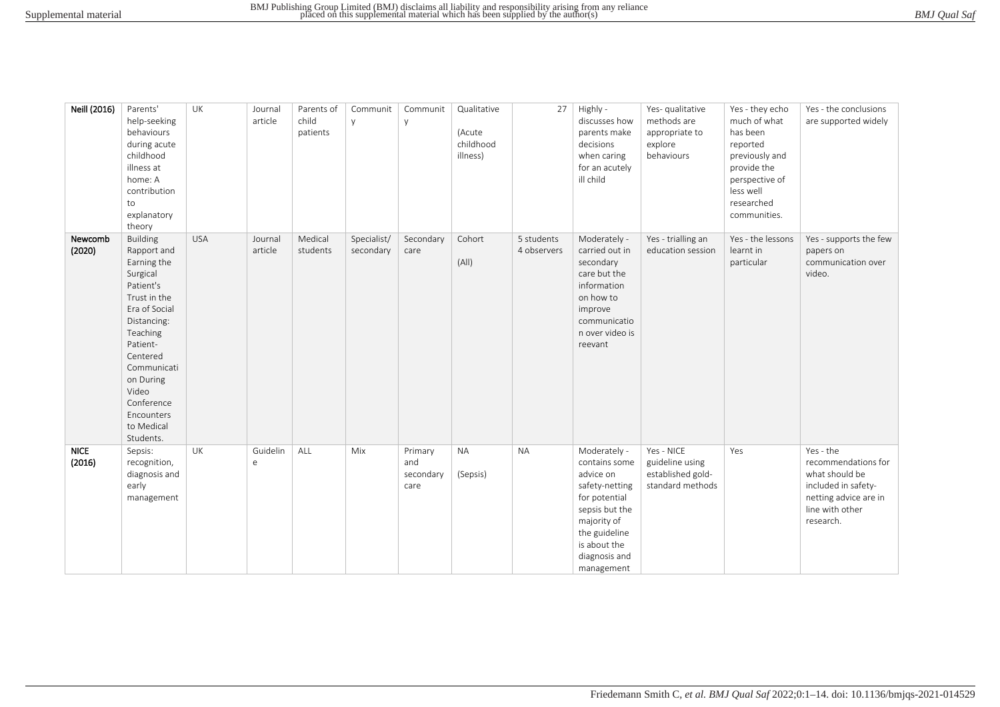|  | BMJ Qual Saf |  |
|--|--------------|--|
|--|--------------|--|

| Neill (2016)          | Parents'<br>help-seeking<br>behaviours<br>during acute<br>childhood<br>illness at<br>home: A<br>contribution<br>to<br>explanatory<br>theory                                                                                                            | UK         | Journal<br>article     | Parents of<br>child<br>patients | Communit<br>y            | Communit<br>y                       | Qualitative<br>(Acute<br>childhood<br>illness) | 27                        | Highly -<br>discusses how<br>parents make<br>decisions<br>when caring<br>for an acutely<br>ill child                                                                           | Yes- qualitative<br>methods are<br>appropriate to<br>explore<br>behaviours | Yes - they echo<br>much of what<br>has been<br>reported<br>previously and<br>provide the<br>perspective of<br>less well<br>researched<br>communities. | Yes - the conclusions<br>are supported widely                                                                                      |
|-----------------------|--------------------------------------------------------------------------------------------------------------------------------------------------------------------------------------------------------------------------------------------------------|------------|------------------------|---------------------------------|--------------------------|-------------------------------------|------------------------------------------------|---------------------------|--------------------------------------------------------------------------------------------------------------------------------------------------------------------------------|----------------------------------------------------------------------------|-------------------------------------------------------------------------------------------------------------------------------------------------------|------------------------------------------------------------------------------------------------------------------------------------|
| Newcomb<br>(2020)     | <b>Building</b><br>Rapport and<br>Earning the<br>Surgical<br>Patient's<br>Trust in the<br>Era of Social<br>Distancing:<br>Teaching<br>Patient-<br>Centered<br>Communicati<br>on During<br>Video<br>Conference<br>Encounters<br>to Medical<br>Students. | <b>USA</b> | Journal<br>article     | Medical<br>students             | Specialist/<br>secondary | Secondary<br>care                   | Cohort<br>(A  )                                | 5 students<br>4 observers | Moderately -<br>carried out in<br>secondary<br>care but the<br>information<br>on how to<br>improve<br>communicatio<br>n over video is<br>reevant                               | Yes - trialling an<br>education session                                    | Yes - the lessons<br>learnt in<br>particular                                                                                                          | Yes - supports the few<br>papers on<br>communication over<br>video.                                                                |
| <b>NICE</b><br>(2016) | Sepsis:<br>recognition,<br>diagnosis and<br>early<br>management                                                                                                                                                                                        | UK         | Guidelin<br>$\epsilon$ | ALL                             | Mix                      | Primary<br>and<br>secondary<br>care | $\sf NA$<br>(Sepsis)                           | <b>NA</b>                 | Moderately -<br>contains some<br>advice on<br>safety-netting<br>for potential<br>sepsis but the<br>majority of<br>the guideline<br>is about the<br>diagnosis and<br>management | Yes - NICE<br>guideline using<br>established gold-<br>standard methods     | Yes                                                                                                                                                   | Yes - the<br>recommendations for<br>what should be<br>included in safety-<br>netting advice are in<br>line with other<br>research. |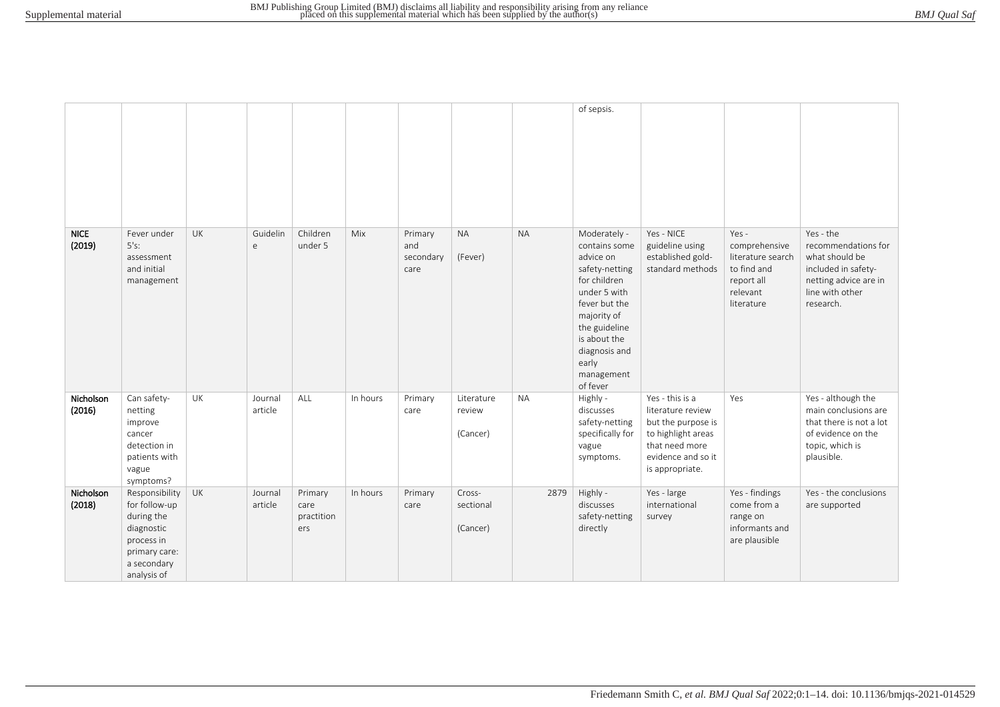|                       |                                                                                                                          |           |                    |                                      |          |                                     |                                  |           | of sepsis.                                                                                                                                                                                                        |                                                                                                                                             |                                                                                                    |                                                                                                                                    |
|-----------------------|--------------------------------------------------------------------------------------------------------------------------|-----------|--------------------|--------------------------------------|----------|-------------------------------------|----------------------------------|-----------|-------------------------------------------------------------------------------------------------------------------------------------------------------------------------------------------------------------------|---------------------------------------------------------------------------------------------------------------------------------------------|----------------------------------------------------------------------------------------------------|------------------------------------------------------------------------------------------------------------------------------------|
| <b>NICE</b><br>(2019) | Fever under<br>5's:<br>assessment<br>and initial<br>management                                                           | UK        | Guidelin<br>e      | Children<br>under 5                  | Mix      | Primary<br>and<br>secondary<br>care | <b>NA</b><br>(Fever)             | <b>NA</b> | Moderately -<br>contains some<br>advice on<br>safety-netting<br>for children<br>under 5 with<br>fever but the<br>majority of<br>the guideline<br>is about the<br>diagnosis and<br>early<br>management<br>of fever | Yes - NICE<br>guideline using<br>established gold-<br>standard methods                                                                      | Yes -<br>comprehensive<br>literature search<br>to find and<br>report all<br>relevant<br>literature | Yes - the<br>recommendations for<br>what should be<br>included in safety-<br>netting advice are in<br>line with other<br>research. |
| Nicholson<br>(2016)   | Can safety-<br>netting<br>improve<br>cancer<br>detection in<br>patients with<br>vague<br>symptoms?                       | UK        | Journal<br>article | ALL                                  | In hours | Primary<br>care                     | Literature<br>review<br>(Cancer) | <b>NA</b> | Highly -<br>discusses<br>safety-netting<br>specifically for<br>vague<br>symptoms.                                                                                                                                 | Yes - this is a<br>literature review<br>but the purpose is<br>to highlight areas<br>that need more<br>evidence and so it<br>is appropriate. | Yes                                                                                                | Yes - although the<br>main conclusions are<br>that there is not a lot<br>of evidence on the<br>topic, which is<br>plausible.       |
| Nicholson<br>(2018)   | Responsibility<br>for follow-up<br>during the<br>diagnostic<br>process in<br>primary care:<br>a secondary<br>analysis of | <b>UK</b> | Journal<br>article | Primary<br>care<br>practition<br>ers | In hours | Primary<br>care                     | Cross-<br>sectional<br>(Cancer)  | 2879      | Highly -<br>discusses<br>safety-netting<br>directly                                                                                                                                                               | Yes - large<br>international<br>survey                                                                                                      | Yes - findings<br>come from a<br>range on<br>informants and<br>are plausible                       | Yes - the conclusions<br>are supported                                                                                             |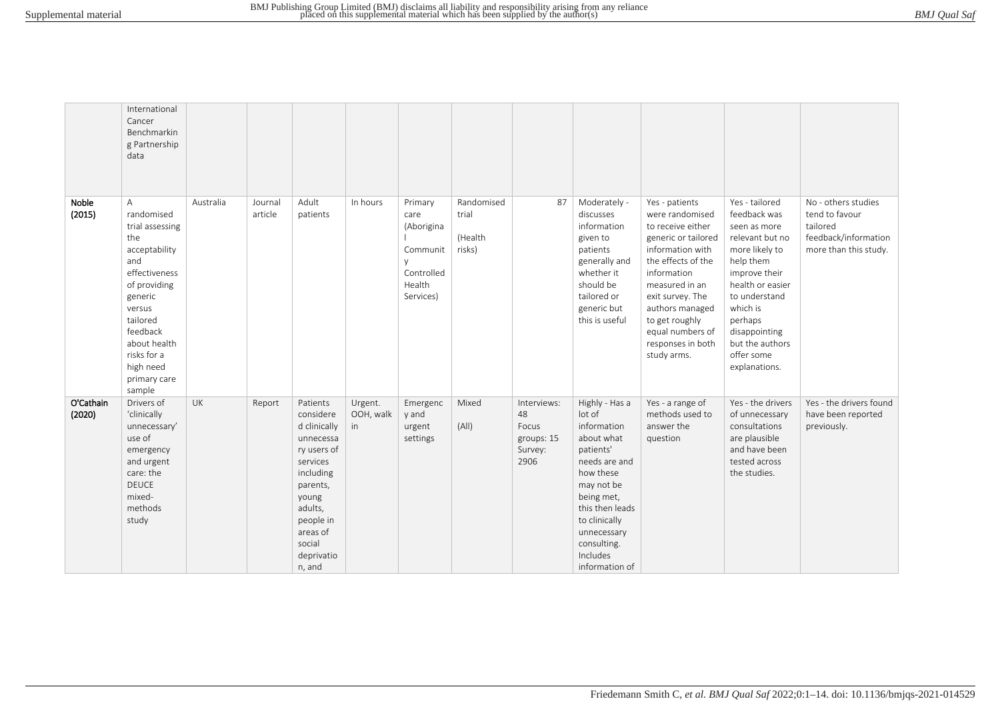|                     | International<br>Cancer<br>Benchmarkin<br>g Partnership<br>data                                                                                                                                                       |           |                    |                                                                                                                                                                                       |                            |                                                                                |                                          |                                                             |                                                                                                                                                                                                                              |                                                                                                                                                                                                                                                                           |                                                                                                                                                                                                                                                  |                                                                                                    |
|---------------------|-----------------------------------------------------------------------------------------------------------------------------------------------------------------------------------------------------------------------|-----------|--------------------|---------------------------------------------------------------------------------------------------------------------------------------------------------------------------------------|----------------------------|--------------------------------------------------------------------------------|------------------------------------------|-------------------------------------------------------------|------------------------------------------------------------------------------------------------------------------------------------------------------------------------------------------------------------------------------|---------------------------------------------------------------------------------------------------------------------------------------------------------------------------------------------------------------------------------------------------------------------------|--------------------------------------------------------------------------------------------------------------------------------------------------------------------------------------------------------------------------------------------------|----------------------------------------------------------------------------------------------------|
| Noble<br>(2015)     | A<br>randomised<br>trial assessing<br>the<br>acceptability<br>and<br>effectiveness<br>of providing<br>generic<br>versus<br>tailored<br>feedback<br>about health<br>risks for a<br>high need<br>primary care<br>sample | Australia | Journal<br>article | Adult<br>patients                                                                                                                                                                     | In hours                   | Primary<br>care<br>(Aborigina<br>Communit<br>Controlled<br>Health<br>Services) | Randomised<br>trial<br>(Health<br>risks) | 87                                                          | Moderately -<br>discusses<br>information<br>given to<br>patients<br>generally and<br>whether it<br>should be<br>tailored or<br>generic but<br>this is useful                                                                 | Yes - patients<br>were randomised<br>to receive either<br>generic or tailored<br>information with<br>the effects of the<br>information<br>measured in an<br>exit survey. The<br>authors managed<br>to get roughly<br>equal numbers of<br>responses in both<br>study arms. | Yes - tailored<br>feedback was<br>seen as more<br>relevant but no<br>more likely to<br>help them<br>improve their<br>health or easier<br>to understand<br>which is<br>perhaps<br>disappointing<br>but the authors<br>offer some<br>explanations. | No - others studies<br>tend to favour<br>tailored<br>feedback/information<br>more than this study. |
| O'Cathain<br>(2020) | Drivers of<br>'clinically<br>unnecessary'<br>use of<br>emergency<br>and urgent<br>care: the<br><b>DEUCE</b><br>mixed-<br>methods<br>study                                                                             | <b>UK</b> | Report             | Patients<br>considere<br>d clinically<br>unnecessa<br>ry users of<br>services<br>including<br>parents,<br>young<br>adults,<br>people in<br>areas of<br>social<br>deprivatio<br>n, and | Urgent.<br>OOH, walk<br>in | Emergenc<br>y and<br>urgent<br>settings                                        | Mixed<br>(A  )                           | Interviews:<br>48<br>Focus<br>groups: 15<br>Survey:<br>2906 | Highly - Has a<br>lot of<br>information<br>about what<br>patients'<br>needs are and<br>how these<br>may not be<br>being met,<br>this then leads<br>to clinically<br>unnecessary<br>consulting.<br>Includes<br>information of | Yes - a range of<br>methods used to<br>answer the<br>question                                                                                                                                                                                                             | Yes - the drivers<br>of unnecessary<br>consultations<br>are plausible<br>and have been<br>tested across<br>the studies.                                                                                                                          | Yes - the drivers found<br>have been reported<br>previously.                                       |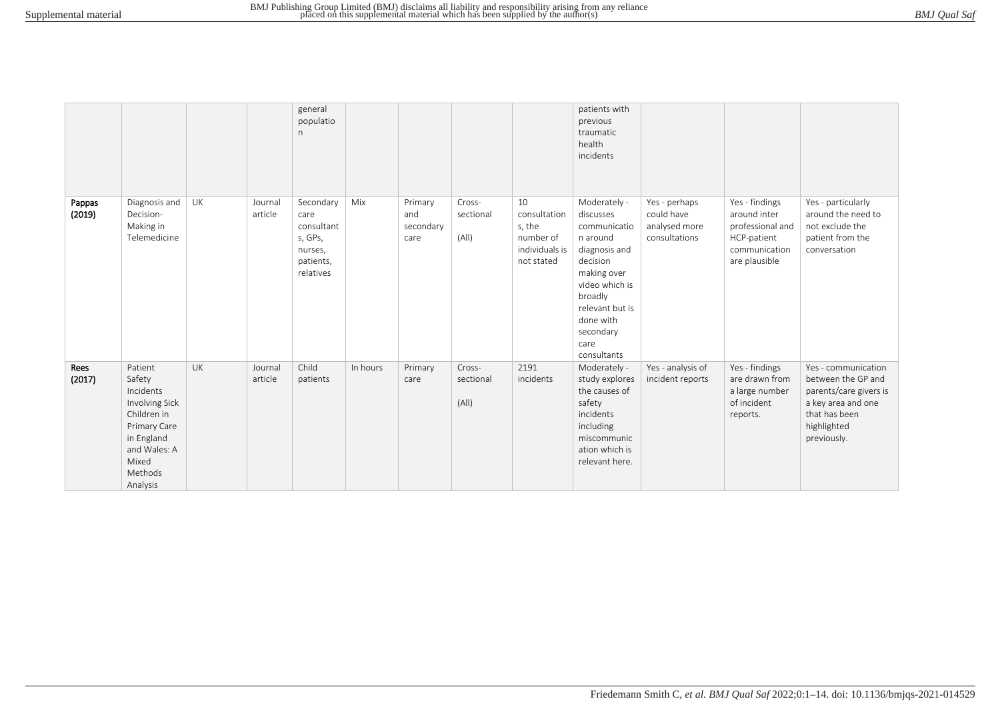|                  |                                                                                                                                               |           |                    | general<br>populatio<br>n                                                       |          |                                     |                              |                                                                           | patients with<br>previous<br>traumatic<br>health<br>incidents                                                                                                                                      |                                                               |                                                                                                     |                                                                                                                                          |
|------------------|-----------------------------------------------------------------------------------------------------------------------------------------------|-----------|--------------------|---------------------------------------------------------------------------------|----------|-------------------------------------|------------------------------|---------------------------------------------------------------------------|----------------------------------------------------------------------------------------------------------------------------------------------------------------------------------------------------|---------------------------------------------------------------|-----------------------------------------------------------------------------------------------------|------------------------------------------------------------------------------------------------------------------------------------------|
| Pappas<br>(2019) | Diagnosis and<br>Decision-<br>Making in<br>Telemedicine                                                                                       | UK        | Journal<br>article | Secondary<br>care<br>consultant<br>s, GPs,<br>nurses,<br>patients,<br>relatives | Mix      | Primary<br>and<br>secondary<br>care | Cross-<br>sectional<br>(A  ) | 10<br>consultation<br>s, the<br>number of<br>individuals is<br>not stated | Moderately -<br>discusses<br>communicatio<br>n around<br>diagnosis and<br>decision<br>making over<br>video which is<br>broadly<br>relevant but is<br>done with<br>secondary<br>care<br>consultants | Yes - perhaps<br>could have<br>analysed more<br>consultations | Yes - findings<br>around inter<br>professional and<br>HCP-patient<br>communication<br>are plausible | Yes - particularly<br>around the need to<br>not exclude the<br>patient from the<br>conversation                                          |
| Rees<br>(2017)   | Patient<br>Safety<br>Incidents<br>Involving Sick<br>Children in<br>Primary Care<br>in England<br>and Wales: A<br>Mixed<br>Methods<br>Analysis | <b>UK</b> | Journal<br>article | Child<br>patients                                                               | In hours | Primary<br>care                     | Cross-<br>sectional<br>(A  ) | 2191<br>incidents                                                         | Moderately -<br>study explores<br>the causes of<br>safety<br>incidents<br>including<br>miscommunic<br>ation which is<br>relevant here.                                                             | Yes - analysis of<br>incident reports                         | Yes - findings<br>are drawn from<br>a large number<br>of incident<br>reports.                       | Yes - communication<br>between the GP and<br>parents/care givers is<br>a key area and one<br>that has been<br>highlighted<br>previously. |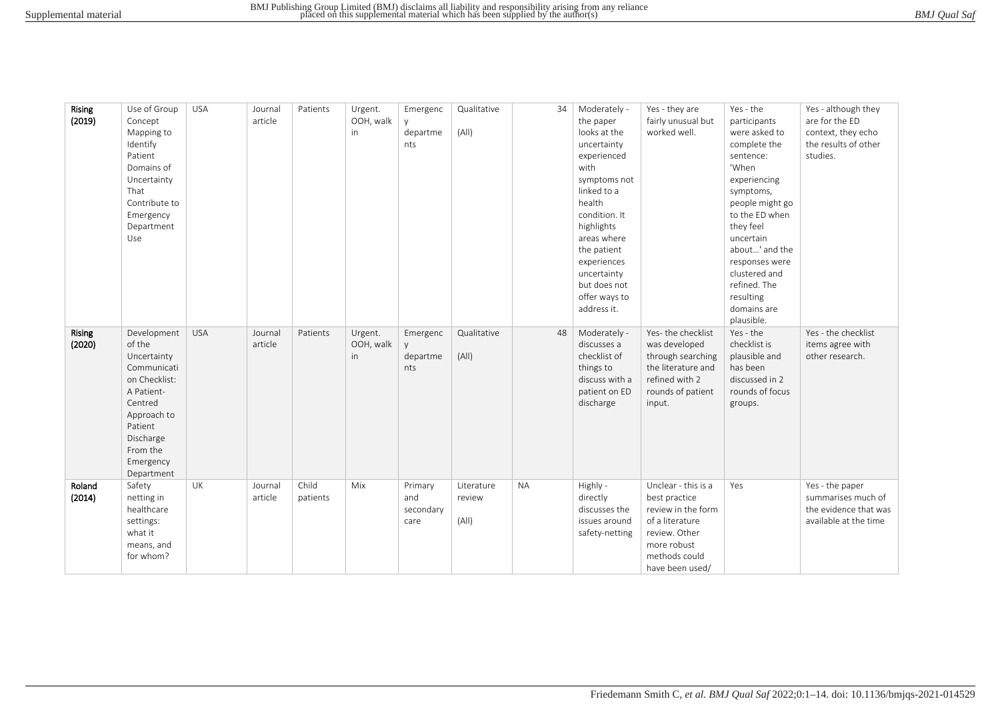| Rising<br>(2019)        | Use of Group<br>Concept<br>Mapping to<br>Identify<br>Patient<br>Domains of<br>Uncertainty<br>That<br>Contribute to<br>Emergency<br>Department<br>Use                        | <b>USA</b> | Journal<br>article | Patients          | Urgent.<br>OOH, walk<br>in | Emergenc<br>departme<br>nts         | Qualitative<br>(A  )          | 34        | Moderately -<br>the paper<br>looks at the<br>uncertainty<br>experienced<br>with<br>symptoms not<br>linked to a<br>health<br>condition. It<br>highlights<br>areas where<br>the patient<br>experiences<br>uncertainty<br>but does not<br>offer ways to<br>address it. | Yes - they are<br>fairly unusual but<br>worked well.                                                                                              | Yes - the<br>participants<br>were asked to<br>complete the<br>sentence:<br>'When<br>experiencing<br>symptoms,<br>people might go<br>to the ED when<br>they feel<br>uncertain<br>about' and the<br>responses were<br>clustered and<br>refined. The<br>resulting<br>domains are<br>plausible. | Yes - although they<br>are for the ED<br>context, they echo<br>the results of other<br>studies. |
|-------------------------|-----------------------------------------------------------------------------------------------------------------------------------------------------------------------------|------------|--------------------|-------------------|----------------------------|-------------------------------------|-------------------------------|-----------|---------------------------------------------------------------------------------------------------------------------------------------------------------------------------------------------------------------------------------------------------------------------|---------------------------------------------------------------------------------------------------------------------------------------------------|---------------------------------------------------------------------------------------------------------------------------------------------------------------------------------------------------------------------------------------------------------------------------------------------|-------------------------------------------------------------------------------------------------|
| <b>Rising</b><br>(2020) | Development<br>of the<br>Uncertainty<br>Communicati<br>on Checklist:<br>A Patient-<br>Centred<br>Approach to<br>Patient<br>Discharge<br>From the<br>Emergency<br>Department | <b>USA</b> | Journal<br>article | Patients          | Urgent.<br>OOH, walk<br>in | Emergenc<br>departme<br>nts         | Qualitative<br>(A  )          | 48        | Moderately -<br>discusses a<br>checklist of<br>things to<br>discuss with a<br>patient on ED<br>discharge                                                                                                                                                            | Yes-the checklist<br>was developed<br>through searching<br>the literature and<br>refined with 2<br>rounds of patient<br>input.                    | Yes - the<br>checklist is<br>plausible and<br>has been<br>discussed in 2<br>rounds of focus<br>groups.                                                                                                                                                                                      | Yes - the checklist<br>items agree with<br>other research.                                      |
| Roland<br>(2014)        | Safety<br>netting in<br>healthcare<br>settings:<br>what it<br>means, and<br>for whom?                                                                                       | UK         | Journal<br>article | Child<br>patients | Mix                        | Primary<br>and<br>secondary<br>care | Literature<br>review<br>(A  ) | <b>NA</b> | Highly -<br>directly<br>discusses the<br>issues around<br>safety-netting                                                                                                                                                                                            | Unclear - this is a<br>best practice<br>review in the form<br>of a literature<br>review. Other<br>more robust<br>methods could<br>have been used/ | Yes                                                                                                                                                                                                                                                                                         | Yes - the paper<br>summarises much of<br>the evidence that was<br>available at the time         |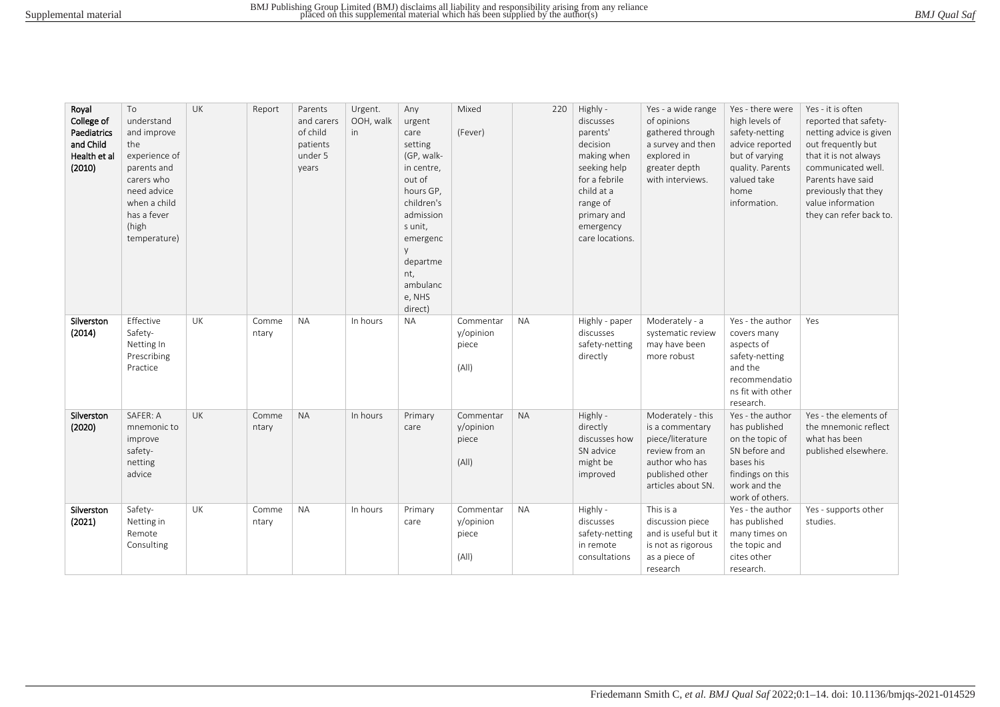| Royal<br>College of<br>Paediatrics<br>and Child<br>Health et al<br>(2010) | To<br>understand<br>and improve<br>the<br>experience of<br>parents and<br>carers who<br>need advice<br>when a child<br>has a fever<br>(high<br>temperature) | UK        | Report         | Parents<br>and carers<br>of child<br>patients<br>under 5<br>years | Urgent.<br>OOH, walk<br>in | Any<br>urgent<br>care<br>setting<br>(GP, walk-<br>in centre,<br>out of<br>hours GP,<br>children's<br>admission<br>s unit,<br>emergenc<br>departme<br>nt,<br>ambulanc<br>e, NHS<br>direct) | Mixed<br>(Fever)                         | 220       | Highly -<br>discusses<br>parents'<br>decision<br>making when<br>seeking help<br>for a febrile<br>child at a<br>range of<br>primary and<br>emergency<br>care locations. | Yes - a wide range<br>of opinions<br>gathered through<br>a survey and then<br>explored in<br>greater depth<br>with interviews.        | Yes - there were<br>high levels of<br>safety-netting<br>advice reported<br>but of varying<br>quality. Parents<br>valued take<br>home<br>information. | Yes - it is often<br>reported that safety-<br>netting advice is given<br>out frequently but<br>that it is not always<br>communicated well.<br>Parents have said<br>previously that they<br>value information<br>they can refer back to. |
|---------------------------------------------------------------------------|-------------------------------------------------------------------------------------------------------------------------------------------------------------|-----------|----------------|-------------------------------------------------------------------|----------------------------|-------------------------------------------------------------------------------------------------------------------------------------------------------------------------------------------|------------------------------------------|-----------|------------------------------------------------------------------------------------------------------------------------------------------------------------------------|---------------------------------------------------------------------------------------------------------------------------------------|------------------------------------------------------------------------------------------------------------------------------------------------------|-----------------------------------------------------------------------------------------------------------------------------------------------------------------------------------------------------------------------------------------|
| Silverston<br>(2014)                                                      | Effective<br>Safety-<br>Netting In<br>Prescribing<br>Practice                                                                                               | <b>UK</b> | Comme<br>ntary | <b>NA</b>                                                         | In hours                   | <b>NA</b>                                                                                                                                                                                 | Commentar<br>y/opinion<br>piece<br>(A  ) | <b>NA</b> | Highly - paper<br>discusses<br>safety-netting<br>directly                                                                                                              | Moderately - a<br>systematic review<br>may have been<br>more robust                                                                   | Yes - the author<br>covers many<br>aspects of<br>safety-netting<br>and the<br>recommendatio<br>ns fit with other<br>research.                        | Yes                                                                                                                                                                                                                                     |
| Silverston<br>(2020)                                                      | SAFER: A<br>mnemonic to<br>improve<br>safety-<br>netting<br>advice                                                                                          | UK        | Comme<br>ntary | <b>NA</b>                                                         | In hours                   | Primary<br>care                                                                                                                                                                           | Commentar<br>y/opinion<br>piece<br>(A  ) | <b>NA</b> | Highly -<br>directly<br>discusses how<br>SN advice<br>might be<br>improved                                                                                             | Moderately - this<br>is a commentary<br>piece/literature<br>review from an<br>author who has<br>published other<br>articles about SN. | Yes - the author<br>has published<br>on the topic of<br>SN before and<br>bases his<br>findings on this<br>work and the<br>work of others.            | Yes - the elements of<br>the mnemonic reflect<br>what has been<br>published elsewhere.                                                                                                                                                  |
| Silverston<br>(2021)                                                      | Safety-<br>Netting in<br>Remote<br>Consulting                                                                                                               | UK        | Comme<br>ntary | <b>NA</b>                                                         | In hours                   | Primary<br>care                                                                                                                                                                           | Commentar<br>y/opinion<br>piece<br>(A  ) | <b>NA</b> | Highly -<br>discusses<br>safety-netting<br>in remote<br>consultations                                                                                                  | This is a<br>discussion piece<br>and is useful but it<br>is not as rigorous<br>as a piece of<br>research                              | Yes - the author<br>has published<br>many times on<br>the topic and<br>cites other<br>research.                                                      | Yes - supports other<br>studies.                                                                                                                                                                                                        |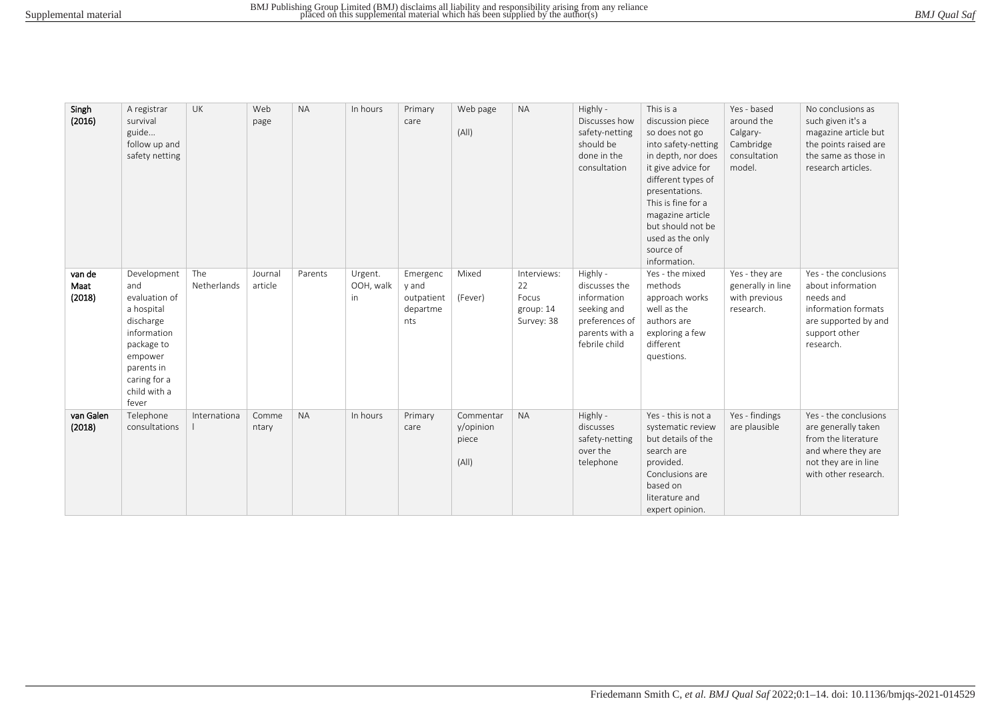| BMJ Qual Saf |  |
|--------------|--|
|              |  |

| Singh<br>(2016)          | A registrar<br>survival<br>guide<br>follow up and<br>safety netting                                                                                           | UK                 | Web<br>page        | <b>NA</b> | In hours                    | Primary<br>care                                    | Web page<br>(A  )                        | <b>NA</b>                                             | Highly -<br>Discusses how<br>safety-netting<br>should be<br>done in the<br>consultation                      | This is a<br>discussion piece<br>so does not go<br>into safety-netting<br>in depth, nor does<br>it give advice for<br>different types of<br>presentations.<br>This is fine for a<br>magazine article<br>but should not be<br>used as the only<br>source of<br>information. | Yes - based<br>around the<br>Calgary-<br>Cambridge<br>consultation<br>model. | No conclusions as<br>such given it's a<br>magazine article but<br>the points raised are<br>the same as those in<br>research articles.     |
|--------------------------|---------------------------------------------------------------------------------------------------------------------------------------------------------------|--------------------|--------------------|-----------|-----------------------------|----------------------------------------------------|------------------------------------------|-------------------------------------------------------|--------------------------------------------------------------------------------------------------------------|----------------------------------------------------------------------------------------------------------------------------------------------------------------------------------------------------------------------------------------------------------------------------|------------------------------------------------------------------------------|-------------------------------------------------------------------------------------------------------------------------------------------|
| van de<br>Maat<br>(2018) | Development<br>and<br>evaluation of<br>a hospital<br>discharge<br>information<br>package to<br>empower<br>parents in<br>caring for a<br>child with a<br>fever | The<br>Netherlands | Journal<br>article | Parents   | Urgent.<br>OOH, walk<br>in. | Emergenc<br>y and<br>outpatient<br>departme<br>nts | Mixed<br>(Fever)                         | Interviews:<br>22<br>Focus<br>group: 14<br>Survey: 38 | Highly -<br>discusses the<br>information<br>seeking and<br>preferences of<br>parents with a<br>febrile child | Yes - the mixed<br>methods<br>approach works<br>well as the<br>authors are<br>exploring a few<br>different<br>questions.                                                                                                                                                   | Yes - they are<br>generally in line<br>with previous<br>research.            | Yes - the conclusions<br>about information<br>needs and<br>information formats<br>are supported by and<br>support other<br>research.      |
| van Galen<br>(2018)      | Telephone<br>consultations                                                                                                                                    | Internationa       | Comme<br>ntary     | <b>NA</b> | In hours                    | Primary<br>care                                    | Commentar<br>y/opinion<br>piece<br>(A  ) | <b>NA</b>                                             | Highly -<br>discusses<br>safety-netting<br>over the<br>telephone                                             | Yes - this is not a<br>systematic review<br>but details of the<br>search are<br>provided.<br>Conclusions are<br>based on<br>literature and<br>expert opinion.                                                                                                              | Yes - findings<br>are plausible                                              | Yes - the conclusions<br>are generally taken<br>from the literature<br>and where they are<br>not they are in line<br>with other research. |